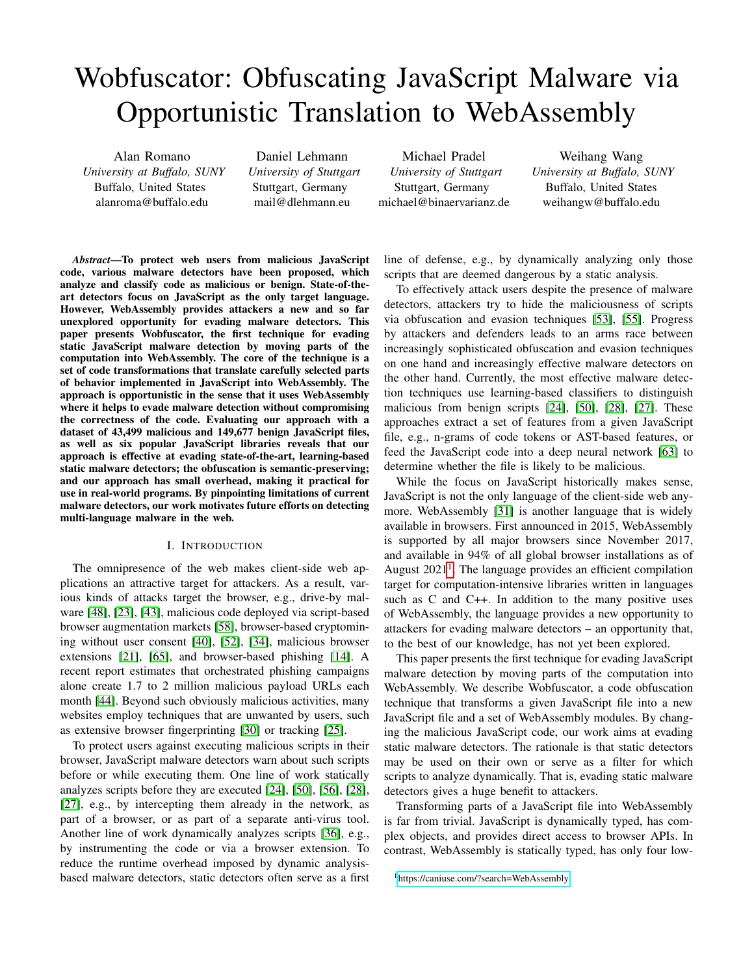# Wobfuscator: Obfuscating JavaScript Malware via Opportunistic Translation to WebAssembly

Alan Romano *University at Buffalo, SUNY* Buffalo, United States alanroma@buffalo.edu

Daniel Lehmann *University of Stuttgart* Stuttgart, Germany mail@dlehmann.eu

Michael Pradel *University of Stuttgart* Stuttgart, Germany michael@binaervarianz.de

Weihang Wang *University at Buffalo, SUNY* Buffalo, United States weihangw@buffalo.edu

*Abstract*—To protect web users from malicious JavaScript code, various malware detectors have been proposed, which analyze and classify code as malicious or benign. State-of-theart detectors focus on JavaScript as the only target language. However, WebAssembly provides attackers a new and so far unexplored opportunity for evading malware detectors. This paper presents Wobfuscator, the first technique for evading static JavaScript malware detection by moving parts of the computation into WebAssembly. The core of the technique is a set of code transformations that translate carefully selected parts of behavior implemented in JavaScript into WebAssembly. The approach is opportunistic in the sense that it uses WebAssembly where it helps to evade malware detection without compromising the correctness of the code. Evaluating our approach with a dataset of 43,499 malicious and 149,677 benign JavaScript files, as well as six popular JavaScript libraries reveals that our approach is effective at evading state-of-the-art, learning-based static malware detectors; the obfuscation is semantic-preserving; and our approach has small overhead, making it practical for use in real-world programs. By pinpointing limitations of current malware detectors, our work motivates future efforts on detecting multi-language malware in the web.

#### I. INTRODUCTION

The omnipresence of the web makes client-side web applications an attractive target for attackers. As a result, various kinds of attacks target the browser, e.g., drive-by malware [\[48\]](#page-14-0), [\[23\]](#page-13-0), [\[43\]](#page-14-1), malicious code deployed via script-based browser augmentation markets [\[58\]](#page-14-2), browser-based cryptomining without user consent [\[40\]](#page-14-3), [\[52\]](#page-14-4), [\[34\]](#page-13-1), malicious browser extensions [\[21\]](#page-13-2), [\[65\]](#page-14-5), and browser-based phishing [\[14\]](#page-13-3). A recent report estimates that orchestrated phishing campaigns alone create 1.7 to 2 million malicious payload URLs each month [\[44\]](#page-14-6). Beyond such obviously malicious activities, many websites employ techniques that are unwanted by users, such as extensive browser fingerprinting [\[30\]](#page-13-4) or tracking [\[25\]](#page-13-5).

To protect users against executing malicious scripts in their browser, JavaScript malware detectors warn about such scripts before or while executing them. One line of work statically analyzes scripts before they are executed [\[24\]](#page-13-6), [\[50\]](#page-14-7), [\[56\]](#page-14-8), [\[28\]](#page-13-7), [\[27\]](#page-13-8), e.g., by intercepting them already in the network, as part of a browser, or as part of a separate anti-virus tool. Another line of work dynamically analyzes scripts [\[36\]](#page-13-9), e.g., by instrumenting the code or via a browser extension. To reduce the runtime overhead imposed by dynamic analysisbased malware detectors, static detectors often serve as a first

line of defense, e.g., by dynamically analyzing only those scripts that are deemed dangerous by a static analysis.

To effectively attack users despite the presence of malware detectors, attackers try to hide the maliciousness of scripts via obfuscation and evasion techniques [\[53\]](#page-14-9), [\[55\]](#page-14-10). Progress by attackers and defenders leads to an arms race between increasingly sophisticated obfuscation and evasion techniques on one hand and increasingly effective malware detectors on the other hand. Currently, the most effective malware detection techniques use learning-based classifiers to distinguish malicious from benign scripts [\[24\]](#page-13-6), [\[50\]](#page-14-7), [\[28\]](#page-13-7), [\[27\]](#page-13-8). These approaches extract a set of features from a given JavaScript file, e.g., n-grams of code tokens or AST-based features, or feed the JavaScript code into a deep neural network [\[63\]](#page-14-11) to determine whether the file is likely to be malicious.

While the focus on JavaScript historically makes sense, JavaScript is not the only language of the client-side web anymore. WebAssembly [\[31\]](#page-13-10) is another language that is widely available in browsers. First announced in 2015, WebAssembly is supported by all major browsers since November 2017, and available in 94% of all global browser installations as of August 202[1](#page-0-0)<sup>1</sup>. The language provides an efficient compilation target for computation-intensive libraries written in languages such as C and C++. In addition to the many positive uses of WebAssembly, the language provides a new opportunity to attackers for evading malware detectors – an opportunity that, to the best of our knowledge, has not yet been explored.

This paper presents the first technique for evading JavaScript malware detection by moving parts of the computation into WebAssembly. We describe Wobfuscator, a code obfuscation technique that transforms a given JavaScript file into a new JavaScript file and a set of WebAssembly modules. By changing the malicious JavaScript code, our work aims at evading static malware detectors. The rationale is that static detectors may be used on their own or serve as a filter for which scripts to analyze dynamically. That is, evading static malware detectors gives a huge benefit to attackers.

Transforming parts of a JavaScript file into WebAssembly is far from trivial. JavaScript is dynamically typed, has complex objects, and provides direct access to browser APIs. In contrast, WebAssembly is statically typed, has only four low-

<span id="page-0-0"></span><sup>&</sup>lt;sup>1</sup><https://caniuse.com/?search=WebAssembly>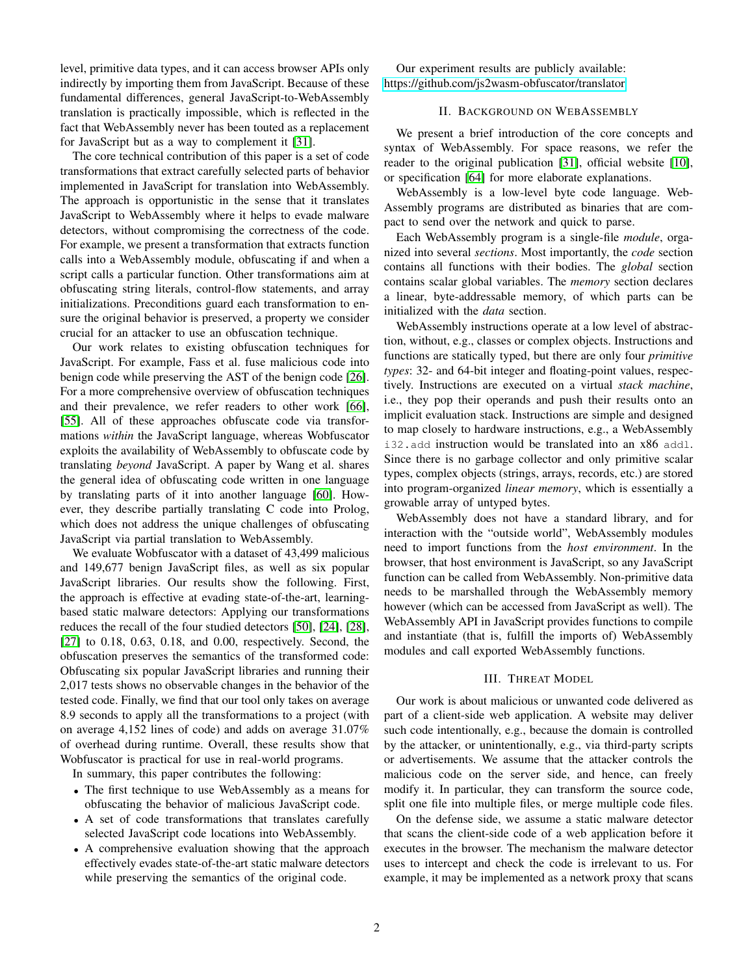level, primitive data types, and it can access browser APIs only indirectly by importing them from JavaScript. Because of these fundamental differences, general JavaScript-to-WebAssembly translation is practically impossible, which is reflected in the fact that WebAssembly never has been touted as a replacement for JavaScript but as a way to complement it [\[31\]](#page-13-10).

The core technical contribution of this paper is a set of code transformations that extract carefully selected parts of behavior implemented in JavaScript for translation into WebAssembly. The approach is opportunistic in the sense that it translates JavaScript to WebAssembly where it helps to evade malware detectors, without compromising the correctness of the code. For example, we present a transformation that extracts function calls into a WebAssembly module, obfuscating if and when a script calls a particular function. Other transformations aim at obfuscating string literals, control-flow statements, and array initializations. Preconditions guard each transformation to ensure the original behavior is preserved, a property we consider crucial for an attacker to use an obfuscation technique.

Our work relates to existing obfuscation techniques for JavaScript. For example, Fass et al. fuse malicious code into benign code while preserving the AST of the benign code [\[26\]](#page-13-11). For a more comprehensive overview of obfuscation techniques and their prevalence, we refer readers to other work [\[66\]](#page-14-12), [\[55\]](#page-14-10). All of these approaches obfuscate code via transformations *within* the JavaScript language, whereas Wobfuscator exploits the availability of WebAssembly to obfuscate code by translating *beyond* JavaScript. A paper by Wang et al. shares the general idea of obfuscating code written in one language by translating parts of it into another language [\[60\]](#page-14-13). However, they describe partially translating C code into Prolog, which does not address the unique challenges of obfuscating JavaScript via partial translation to WebAssembly.

We evaluate Wobfuscator with a dataset of 43,499 malicious and 149,677 benign JavaScript files, as well as six popular JavaScript libraries. Our results show the following. First, the approach is effective at evading state-of-the-art, learningbased static malware detectors: Applying our transformations reduces the recall of the four studied detectors [\[50\]](#page-14-7), [\[24\]](#page-13-6), [\[28\]](#page-13-7), [\[27\]](#page-13-8) to 0.18, 0.63, 0.18, and 0.00, respectively. Second, the obfuscation preserves the semantics of the transformed code: Obfuscating six popular JavaScript libraries and running their 2,017 tests shows no observable changes in the behavior of the tested code. Finally, we find that our tool only takes on average 8.9 seconds to apply all the transformations to a project (with on average 4,152 lines of code) and adds on average 31.07% of overhead during runtime. Overall, these results show that Wobfuscator is practical for use in real-world programs.

In summary, this paper contributes the following:

- The first technique to use WebAssembly as a means for obfuscating the behavior of malicious JavaScript code.
- A set of code transformations that translates carefully selected JavaScript code locations into WebAssembly.
- A comprehensive evaluation showing that the approach effectively evades state-of-the-art static malware detectors while preserving the semantics of the original code.

Our experiment results are publicly available: <https://github.com/js2wasm-obfuscator/translator>

# II. BACKGROUND ON WEBASSEMBLY

We present a brief introduction of the core concepts and syntax of WebAssembly. For space reasons, we refer the reader to the original publication [\[31\]](#page-13-10), official website [\[10\]](#page-13-12), or specification [\[64\]](#page-14-14) for more elaborate explanations.

WebAssembly is a low-level byte code language. Web-Assembly programs are distributed as binaries that are compact to send over the network and quick to parse.

Each WebAssembly program is a single-file *module*, organized into several *sections*. Most importantly, the *code* section contains all functions with their bodies. The *global* section contains scalar global variables. The *memory* section declares a linear, byte-addressable memory, of which parts can be initialized with the *data* section.

WebAssembly instructions operate at a low level of abstraction, without, e.g., classes or complex objects. Instructions and functions are statically typed, but there are only four *primitive types*: 32- and 64-bit integer and floating-point values, respectively. Instructions are executed on a virtual *stack machine*, i.e., they pop their operands and push their results onto an implicit evaluation stack. Instructions are simple and designed to map closely to hardware instructions, e.g., a WebAssembly i32.add instruction would be translated into an x86 addl. Since there is no garbage collector and only primitive scalar types, complex objects (strings, arrays, records, etc.) are stored into program-organized *linear memory*, which is essentially a growable array of untyped bytes.

WebAssembly does not have a standard library, and for interaction with the "outside world", WebAssembly modules need to import functions from the *host environment*. In the browser, that host environment is JavaScript, so any JavaScript function can be called from WebAssembly. Non-primitive data needs to be marshalled through the WebAssembly memory however (which can be accessed from JavaScript as well). The WebAssembly API in JavaScript provides functions to compile and instantiate (that is, fulfill the imports of) WebAssembly modules and call exported WebAssembly functions.

#### III. THREAT MODEL

Our work is about malicious or unwanted code delivered as part of a client-side web application. A website may deliver such code intentionally, e.g., because the domain is controlled by the attacker, or unintentionally, e.g., via third-party scripts or advertisements. We assume that the attacker controls the malicious code on the server side, and hence, can freely modify it. In particular, they can transform the source code, split one file into multiple files, or merge multiple code files.

On the defense side, we assume a static malware detector that scans the client-side code of a web application before it executes in the browser. The mechanism the malware detector uses to intercept and check the code is irrelevant to us. For example, it may be implemented as a network proxy that scans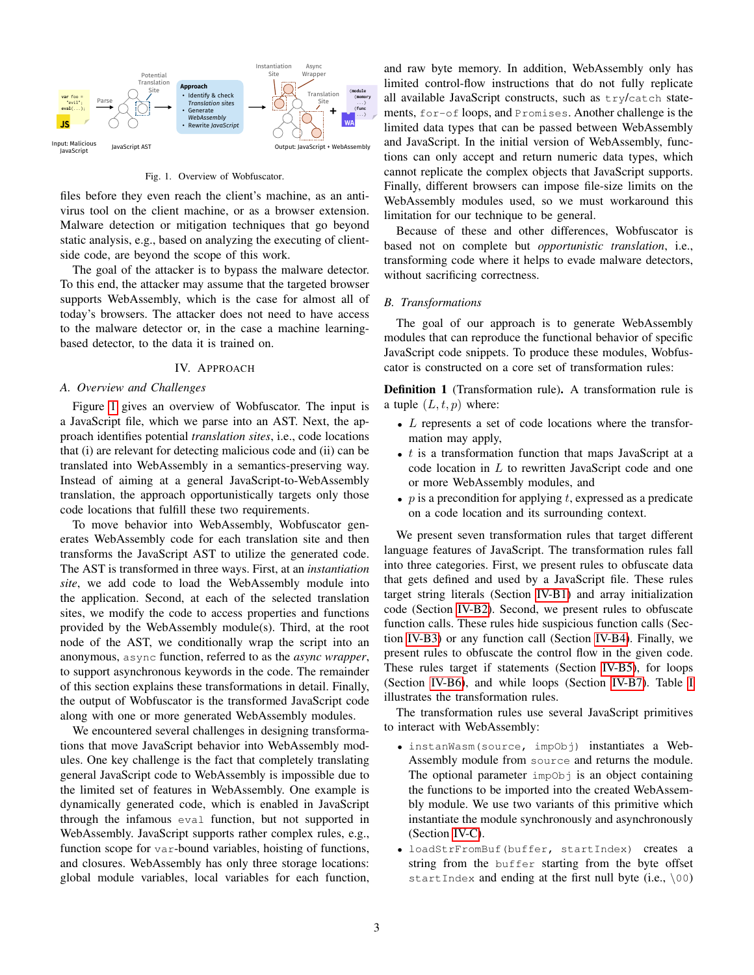

<span id="page-2-0"></span>Fig. 1. Overview of Wobfuscator.

files before they even reach the client's machine, as an antivirus tool on the client machine, or as a browser extension. Malware detection or mitigation techniques that go beyond static analysis, e.g., based on analyzing the executing of clientside code, are beyond the scope of this work.

The goal of the attacker is to bypass the malware detector. To this end, the attacker may assume that the targeted browser supports WebAssembly, which is the case for almost all of today's browsers. The attacker does not need to have access to the malware detector or, in the case a machine learningbased detector, to the data it is trained on.

## IV. APPROACH

## <span id="page-2-2"></span>*A. Overview and Challenges*

Figure [1](#page-2-0) gives an overview of Wobfuscator. The input is a JavaScript file, which we parse into an AST. Next, the approach identifies potential *translation sites*, i.e., code locations that (i) are relevant for detecting malicious code and (ii) can be translated into WebAssembly in a semantics-preserving way. Instead of aiming at a general JavaScript-to-WebAssembly translation, the approach opportunistically targets only those code locations that fulfill these two requirements.

To move behavior into WebAssembly, Wobfuscator generates WebAssembly code for each translation site and then transforms the JavaScript AST to utilize the generated code. The AST is transformed in three ways. First, at an *instantiation site*, we add code to load the WebAssembly module into the application. Second, at each of the selected translation sites, we modify the code to access properties and functions provided by the WebAssembly module(s). Third, at the root node of the AST, we conditionally wrap the script into an anonymous, async function, referred to as the *async wrapper*, to support asynchronous keywords in the code. The remainder of this section explains these transformations in detail. Finally, the output of Wobfuscator is the transformed JavaScript code along with one or more generated WebAssembly modules.

We encountered several challenges in designing transformations that move JavaScript behavior into WebAssembly modules. One key challenge is the fact that completely translating general JavaScript code to WebAssembly is impossible due to the limited set of features in WebAssembly. One example is dynamically generated code, which is enabled in JavaScript through the infamous eval function, but not supported in WebAssembly. JavaScript supports rather complex rules, e.g., function scope for var-bound variables, hoisting of functions, and closures. WebAssembly has only three storage locations: global module variables, local variables for each function,

and raw byte memory. In addition, WebAssembly only has limited control-flow instructions that do not fully replicate all available JavaScript constructs, such as try/catch statements, for-of loops, and Promises. Another challenge is the limited data types that can be passed between WebAssembly and JavaScript. In the initial version of WebAssembly, functions can only accept and return numeric data types, which cannot replicate the complex objects that JavaScript supports. Finally, different browsers can impose file-size limits on the WebAssembly modules used, so we must workaround this limitation for our technique to be general.

Because of these and other differences, Wobfuscator is based not on complete but *opportunistic translation*, i.e., transforming code where it helps to evade malware detectors, without sacrificing correctness.

## <span id="page-2-1"></span>*B. Transformations*

The goal of our approach is to generate WebAssembly modules that can reproduce the functional behavior of specific JavaScript code snippets. To produce these modules, Wobfuscator is constructed on a core set of transformation rules:

Definition 1 (Transformation rule). A transformation rule is a tuple  $(L, t, p)$  where:

- L represents a set of code locations where the transformation may apply,
- $\bullet$  t is a transformation function that maps JavaScript at a code location in L to rewritten JavaScript code and one or more WebAssembly modules, and
- $p$  is a precondition for applying  $t$ , expressed as a predicate on a code location and its surrounding context.

We present seven transformation rules that target different language features of JavaScript. The transformation rules fall into three categories. First, we present rules to obfuscate data that gets defined and used by a JavaScript file. These rules target string literals (Section [IV-B1\)](#page-3-0) and array initialization code (Section [IV-B2\)](#page-4-0). Second, we present rules to obfuscate function calls. These rules hide suspicious function calls (Section [IV-B3\)](#page-4-1) or any function call (Section [IV-B4\)](#page-4-2). Finally, we present rules to obfuscate the control flow in the given code. These rules target if statements (Section [IV-B5\)](#page-5-0), for loops (Section [IV-B6\)](#page-5-1), and while loops (Section [IV-B7\)](#page-6-0). Table [I](#page-3-1) illustrates the transformation rules.

The transformation rules use several JavaScript primitives to interact with WebAssembly:

- instanWasm(source, impObj) instantiates a Web-Assembly module from source and returns the module. The optional parameter  $\text{impOb}$  is an object containing the functions to be imported into the created WebAssembly module. We use two variants of this primitive which instantiate the module synchronously and asynchronously (Section [IV-C\)](#page-6-1).
- loadStrFromBuf(buffer, startIndex) creates a string from the buffer starting from the byte offset startIndex and ending at the first null byte (i.e.,  $\setminus 00$ )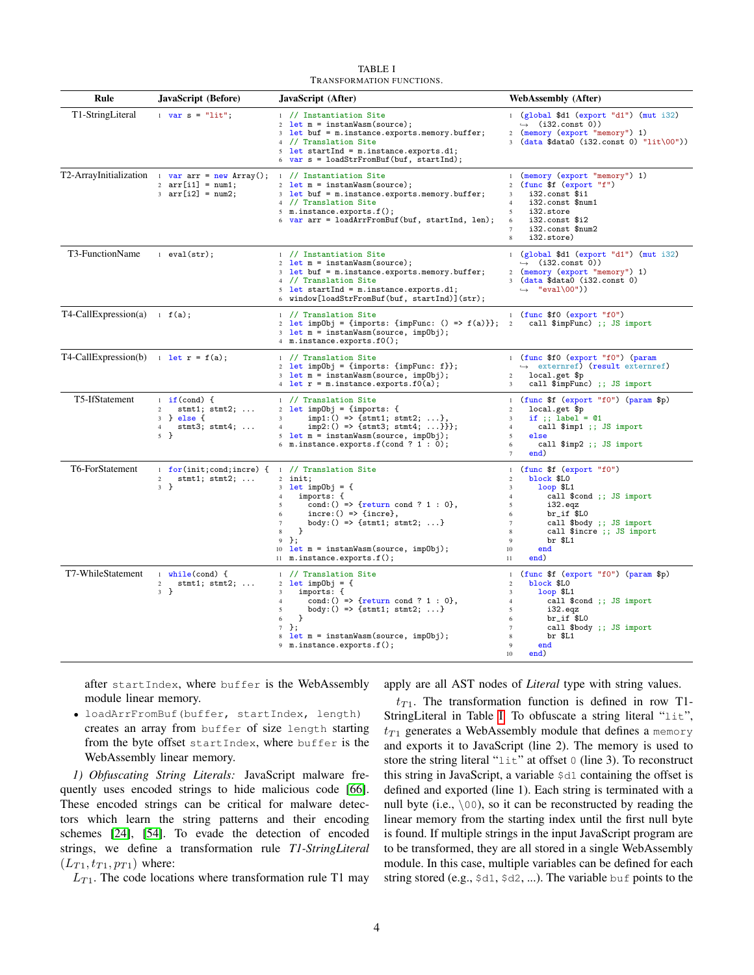<span id="page-3-1"></span>

| Rule                                            | JavaScript (Before)                                                                                                                            | JavaScript (After)                                                                                                                                                                                                                                                                                                                          | <b>WebAssembly</b> (After)                                                                                                                                                                                                                                                                               |
|-------------------------------------------------|------------------------------------------------------------------------------------------------------------------------------------------------|---------------------------------------------------------------------------------------------------------------------------------------------------------------------------------------------------------------------------------------------------------------------------------------------------------------------------------------------|----------------------------------------------------------------------------------------------------------------------------------------------------------------------------------------------------------------------------------------------------------------------------------------------------------|
| T1-StringLiteral                                | $1$ var $s = "lit";$                                                                                                                           | 1 // Instantiation Site<br>$2$ let $m =$ instanWasm(source);<br>3 let buf = m.instance.exports.memory.buffer;<br>4 // Translation Site<br>5 let startInd = m.instance.exports.d1;<br>$6 \text{ var } s = \text{loadStrFromBuf}(\text{buf}, \text{startInd});$                                                                               | 1 (global \$d1 (export "d1") (mut i32)<br>$\leftrightarrow$ (i32.const 0))<br>2 (memory (export "memory") 1)<br>3 (data \$data0 (i32.const 0) "lit\00"))                                                                                                                                                 |
|                                                 | T2-ArrayInitialization $\frac{1}{1}$ var arr = new Array(); $\frac{1}{1}$ // Instantiation Site<br>$2 \arr[i1] = num1;$<br>$3 arr[i2] = num2;$ | $2 \text{ let } m = \text{instantlasm}(\text{source});$<br>3 let buf = m.instance.exports.memory.buffer;<br>4 // Translation Site<br>5 m.instance.exports.f();<br>6 var arr = loadArrFromBuf(buf, startInd, len);                                                                                                                           | 1 (memory (export "memory") 1)<br>2 (func \$f (export "f")<br>i32.const \$i1<br>3 <sup>1</sup><br>i32.const \$num1<br>$\overline{4}$<br>i32.store<br>5 <sup>7</sup><br>i32.const \$i2<br>6<br>i32.const \$num2<br>7<br>i32.store)                                                                        |
| T3-FunctionName                                 | $1$ eval(str);                                                                                                                                 | 1 // Instantiation Site<br>$2 \text{ let } m = \text{instantlasm}(\text{source});$<br>3 let buf = m.instance.exports.memory.buffer;<br>4 // Translation Site<br>$5$ let startInd = m.instance.exports.d1;<br>6 window[loadStrFromBuf(buf, startInd)](str);                                                                                  | 1 (global \$d1 (export "d1") (mut i32)<br>$\leftrightarrow$ (i32.const 0))<br>2 (memory (export "memory") 1)<br>3 (data \$data0 (i32.const 0)<br>$\rightarrow$ "eval\00"))                                                                                                                               |
| $T4$ -CallExpression(a) $\rightarrow$ f(a);     |                                                                                                                                                | 1 // Translation Site<br>2 let imp0bj = {imports: {impFunc: $()$ => $f(a)$ }}; 2<br>3 let m = instanWasm(source, impObj);<br>4 m.instance.exports.f0();                                                                                                                                                                                     | 1 (func \$f0 (export "f0")<br>call \$impFunc) ;; JS import                                                                                                                                                                                                                                               |
| T4-CallExpression(b) $1 \text{ let } r = f(a);$ |                                                                                                                                                | 1 // Translation Site<br>2 let $impObj = \{imports: \{impFunc: f\}\};$<br>3 let m = instanWasm(source, impObj);<br>4 let $r = m.instance.$ exports.f0(a);                                                                                                                                                                                   | 1 (func \$f0 (export "f0") (param<br>$\leftrightarrow$ externref) (result externref)<br>local.get \$p<br>2<br>call \$impFunc) ;; JS import<br>$\overline{3}$                                                                                                                                             |
| T5-IfStatement                                  | $1 \text{ if } (cond) \text{ }$<br>stmt1;stmt2;<br>$\overline{2}$<br>$3 \}$ else {<br>4<br>stmt3;stmt4;<br>5 <sup>1</sup>                      | 1 // Translation Site<br>2 let imp0bj = $\{$ imports: $\{$<br>$impl:() \Rightarrow {stmt1; strat2; },$<br>$3^{\circ}$<br>$imp2:() => {stmt3; strat4; }};$<br>$\overline{4}$<br>5 let m = instanWasm(source, impObj);<br>6 m.instance.exports.f(cond ? 1 : 0);                                                                               | 1 (func \$f (export "f0") (param \$p)<br>local.get \$p<br>$\overline{2}$<br>if ;; label = $@1$<br>$\overline{\mathbf{3}}$<br>call \$imp1 ;; JS import<br>$\overline{4}$<br>5<br>else<br>6<br>call \$imp2 ;; JS import<br>end)<br>$7\overline{ }$                                                         |
| T6-ForStatement                                 | 1 for(init; cond; incre) { 1 // Translation Site<br>stmt1;stmt2;<br>$\overline{2}$<br>3 <sup>3</sup>                                           | $2$ init;<br>3 let impObj = $\{$<br>imports: {<br>$\overline{4}$<br>cond: () => { $return cond ? 1 : 0$ },<br>5<br>$\text{increase:}() \Rightarrow \text{force},$<br>6<br>$body:() \Rightarrow {stmt1; strnt2; }$<br>$\overline{7}$<br>$\mathcal{F}$<br>8<br>9 };<br>10 let $m =$ instanWasm(source, impObj);<br>11 m.instance.exports.f(); | 1 (func \$f (export "f0")<br>block \$L0<br>2<br>$\overline{\mathbf{3}}$<br>$loop$ \$L1<br>call \$cond;; JS import<br>$\overline{4}$<br>5<br>i32.eqz<br>br_if \$L0<br>6<br>call \$body ;; JS import<br>$7\phantom{.0}$<br>call \$incre;; JS import<br>8<br>$br$ $$L1$<br>9<br>$10\,$<br>end<br>end)<br>11 |
| T7-WhileStatement                               | 1 while(cond) {<br>stmt1;stmt2;<br>$2^{\circ}$<br>3 <sup>3</sup>                                                                               | 1 // Translation Site<br>2 let impObj = {<br>imports: {<br>3<br>cond: () => { $return cond ? 1 : 0$ },<br>$\overline{4}$<br>body: () => { $stmt1; stat2; $ }<br>5<br>}<br>6<br>7 };<br>8 let m = instanWasm(source, impObj);<br>9 m.instance.exports.f();                                                                                   | (func \$f (export "f0") (param \$p)<br>$\mathbf{1}$<br>block \$L0<br>2<br>$loop$ $$L1$<br>3<br>call \$cond;; JS import<br>$\overline{4}$<br>5<br>i32.eqz<br>br_if \$L0<br>6<br>call \$body ;; JS import<br>$\overline{7}$<br>$br$ $$L1$<br>8<br>$\mathbf{Q}$<br>end<br>10<br>end)                        |

TABLE I TRANSFORMATION FUNCTIONS.

after startIndex, where buffer is the WebAssembly module linear memory.

• loadArrFromBuf(buffer, startIndex, length) creates an array from buffer of size length starting from the byte offset startIndex, where buffer is the WebAssembly linear memory.

<span id="page-3-0"></span>*1) Obfuscating String Literals:* JavaScript malware frequently uses encoded strings to hide malicious code [\[66\]](#page-14-12). These encoded strings can be critical for malware detectors which learn the string patterns and their encoding schemes [\[24\]](#page-13-6), [\[54\]](#page-14-15). To evade the detection of encoded strings, we define a transformation rule *T1-StringLiteral*  $(L_{T1}, t_{T1}, p_{T1})$  where:

 $L_{T1}$ . The code locations where transformation rule T1 may

apply are all AST nodes of *Literal* type with string values.

 $t_{T1}$ . The transformation function is defined in row T1-StringLiteral in Table [I.](#page-3-1) To obfuscate a string literal "lit",  $t_{T1}$  generates a WebAssembly module that defines a memory and exports it to JavaScript (line 2). The memory is used to store the string literal " $\exists$  it" at offset 0 (line 3). To reconstruct this string in JavaScript, a variable \$d1 containing the offset is defined and exported (line 1). Each string is terminated with a null byte (i.e.,  $(00)$ , so it can be reconstructed by reading the linear memory from the starting index until the first null byte is found. If multiple strings in the input JavaScript program are to be transformed, they are all stored in a single WebAssembly module. In this case, multiple variables can be defined for each string stored (e.g., \$d1, \$d2, ...). The variable buf points to the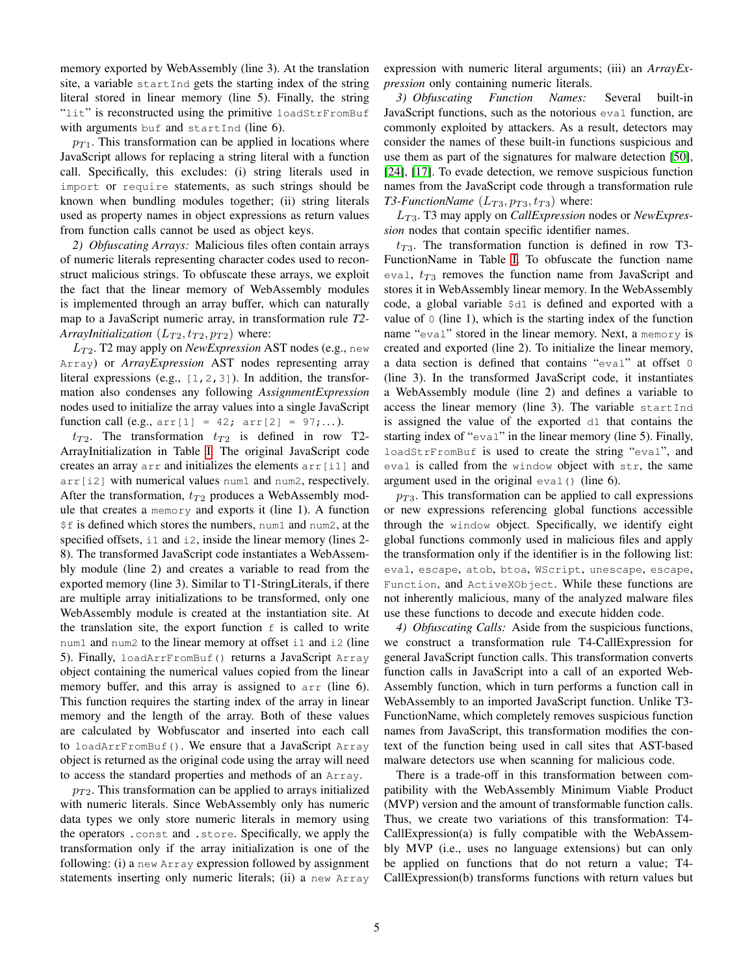memory exported by WebAssembly (line 3). At the translation site, a variable startInd gets the starting index of the string literal stored in linear memory (line 5). Finally, the string "lit" is reconstructed using the primitive loadStrFromBuf with arguments buf and startInd (line 6).

 $p_{T1}$ . This transformation can be applied in locations where JavaScript allows for replacing a string literal with a function call. Specifically, this excludes: (i) string literals used in import or require statements, as such strings should be known when bundling modules together; (ii) string literals used as property names in object expressions as return values from function calls cannot be used as object keys.

<span id="page-4-0"></span>*2) Obfuscating Arrays:* Malicious files often contain arrays of numeric literals representing character codes used to reconstruct malicious strings. To obfuscate these arrays, we exploit the fact that the linear memory of WebAssembly modules is implemented through an array buffer, which can naturally map to a JavaScript numeric array, in transformation rule *T2- ArrayInitialization*  $(L_{T2}, t_{T2}, p_{T2})$  where:

 $L_{T2}$ . T2 may apply on *NewExpression* AST nodes (e.g., new Array) or *ArrayExpression* AST nodes representing array literal expressions (e.g., [1,2,3]). In addition, the transformation also condenses any following *AssignmentExpression* nodes used to initialize the array values into a single JavaScript function call (e.g.,  $arr[1] = 42; arr[2] = 97; ...$ ).

 $t_{T2}$ . The transformation  $t_{T2}$  is defined in row T2-ArrayInitialization in Table [I.](#page-3-1) The original JavaScript code creates an array arr and initializes the elements arr[i1] and arr[i2] with numerical values num1 and num2, respectively. After the transformation,  $t_{T2}$  produces a WebAssembly module that creates a memory and exports it (line 1). A function  $$f$  is defined which stores the numbers, num1 and num2, at the specified offsets, i1 and i2, inside the linear memory (lines 2-8). The transformed JavaScript code instantiates a WebAssembly module (line 2) and creates a variable to read from the exported memory (line 3). Similar to T1-StringLiterals, if there are multiple array initializations to be transformed, only one WebAssembly module is created at the instantiation site. At the translation site, the export function  $f$  is called to write num1 and num2 to the linear memory at offset i1 and i2 (line 5). Finally, loadArrFromBuf() returns a JavaScript Array object containing the numerical values copied from the linear memory buffer, and this array is assigned to  $arr$  (line 6). This function requires the starting index of the array in linear memory and the length of the array. Both of these values are calculated by Wobfuscator and inserted into each call to loadArrFromBuf(). We ensure that a JavaScript Array object is returned as the original code using the array will need to access the standard properties and methods of an Array.

 $p_{T2}$ . This transformation can be applied to arrays initialized with numeric literals. Since WebAssembly only has numeric data types we only store numeric literals in memory using the operators .const and .store. Specifically, we apply the transformation only if the array initialization is one of the following: (i) a new Array expression followed by assignment statements inserting only numeric literals; (ii) a new Array

expression with numeric literal arguments; (iii) an *ArrayExpression* only containing numeric literals.

<span id="page-4-1"></span>*3) Obfuscating Function Names:* Several built-in JavaScript functions, such as the notorious eval function, are commonly exploited by attackers. As a result, detectors may consider the names of these built-in functions suspicious and use them as part of the signatures for malware detection [\[50\]](#page-14-7), [\[24\]](#page-13-6), [\[17\]](#page-13-13). To evade detection, we remove suspicious function names from the JavaScript code through a transformation rule  $T3$ -*FunctionName*  $(L_{T3}, p_{T3}, t_{T3})$  where:

LT3. T3 may apply on *CallExpression* nodes or *NewExpression* nodes that contain specific identifier names.

 $t_{T3}$ . The transformation function is defined in row T3-FunctionName in Table [I.](#page-3-1) To obfuscate the function name eval,  $t_{T3}$  removes the function name from JavaScript and stores it in WebAssembly linear memory. In the WebAssembly code, a global variable \$d1 is defined and exported with a value of  $\circ$  (line 1), which is the starting index of the function name "eval" stored in the linear memory. Next, a memory is created and exported (line 2). To initialize the linear memory, a data section is defined that contains "eval" at offset 0 (line 3). In the transformed JavaScript code, it instantiates a WebAssembly module (line 2) and defines a variable to access the linear memory (line 3). The variable startInd is assigned the value of the exported d1 that contains the starting index of "eval" in the linear memory (line 5). Finally, loadStrFromBuf is used to create the string "eval", and eval is called from the window object with str, the same argument used in the original eval() (line 6).

 $p_{T3}$ . This transformation can be applied to call expressions or new expressions referencing global functions accessible through the window object. Specifically, we identify eight global functions commonly used in malicious files and apply the transformation only if the identifier is in the following list: eval, escape, atob, btoa, WScript, unescape, escape, Function, and ActiveXObject. While these functions are not inherently malicious, many of the analyzed malware files use these functions to decode and execute hidden code.

<span id="page-4-2"></span>*4) Obfuscating Calls:* Aside from the suspicious functions, we construct a transformation rule T4-CallExpression for general JavaScript function calls. This transformation converts function calls in JavaScript into a call of an exported Web-Assembly function, which in turn performs a function call in WebAssembly to an imported JavaScript function. Unlike T3- FunctionName, which completely removes suspicious function names from JavaScript, this transformation modifies the context of the function being used in call sites that AST-based malware detectors use when scanning for malicious code.

There is a trade-off in this transformation between compatibility with the WebAssembly Minimum Viable Product (MVP) version and the amount of transformable function calls. Thus, we create two variations of this transformation: T4- CallExpression(a) is fully compatible with the WebAssembly MVP (i.e., uses no language extensions) but can only be applied on functions that do not return a value; T4- CallExpression(b) transforms functions with return values but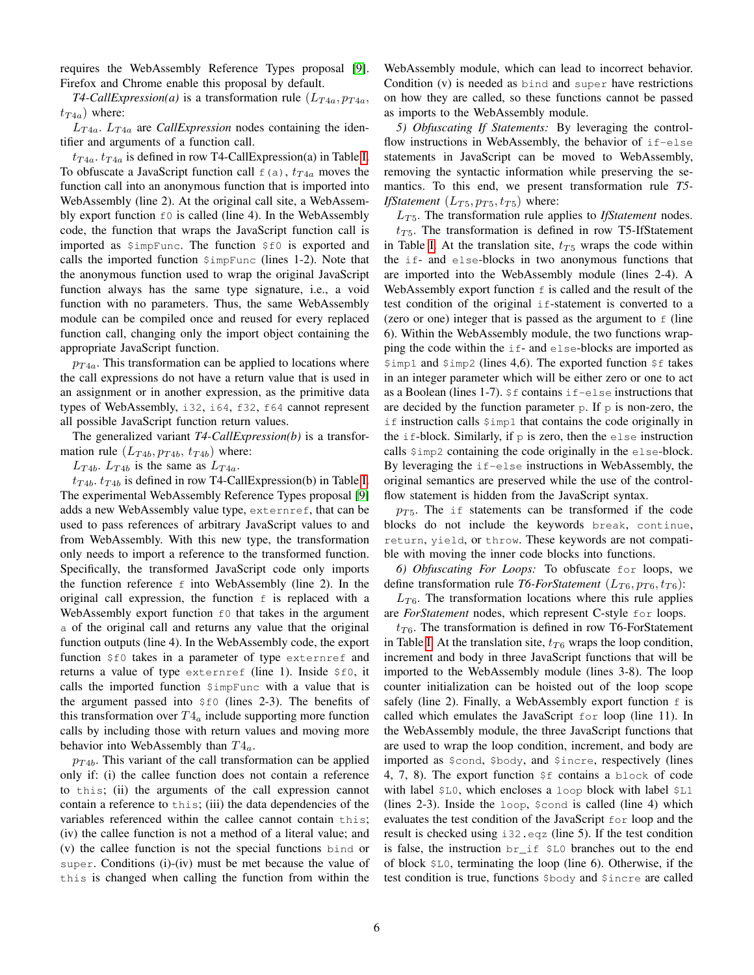requires the WebAssembly Reference Types proposal [\[9\]](#page-13-14). Firefox and Chrome enable this proposal by default.

*T4-CallExpression(a)* is a transformation rule  $(L_{T4a}, p_{T4a}, p_{T4b})$  $t_{T4a}$ ) where:

 $L_{T4a}$ .  $L_{T4a}$  are *CallExpression* nodes containing the identifier and arguments of a function call.

 $t_{T4a}$ .  $t_{T4a}$  is defined in row T4-CallExpression(a) in Table [I.](#page-3-1) To obfuscate a JavaScript function call  $f(a)$ ,  $t_{T4a}$  moves the function call into an anonymous function that is imported into WebAssembly (line 2). At the original call site, a WebAssembly export function  $f$ <sup>0</sup> is called (line 4). In the WebAssembly code, the function that wraps the JavaScript function call is imported as \$impFunc. The function \$f0 is exported and calls the imported function \$impFunc (lines 1-2). Note that the anonymous function used to wrap the original JavaScript function always has the same type signature, i.e., a void function with no parameters. Thus, the same WebAssembly module can be compiled once and reused for every replaced function call, changing only the import object containing the appropriate JavaScript function.

 $p_{T4a}$ . This transformation can be applied to locations where the call expressions do not have a return value that is used in an assignment or in another expression, as the primitive data types of WebAssembly, i32, i64, f32, f64 cannot represent all possible JavaScript function return values.

The generalized variant *T4-CallExpression(b)* is a transformation rule  $(L_{T4b}, p_{T4b}, t_{T4b})$  where:

 $L_{T4b}$ .  $L_{T4b}$  is the same as  $L_{T4a}$ .

 $t_{T4b}$ .  $t_{T4b}$  is defined in row T4-CallExpression(b) in Table [I.](#page-3-1) The experimental WebAssembly Reference Types proposal [\[9\]](#page-13-14) adds a new WebAssembly value type, externref, that can be used to pass references of arbitrary JavaScript values to and from WebAssembly. With this new type, the transformation only needs to import a reference to the transformed function. Specifically, the transformed JavaScript code only imports the function reference  $f$  into WebAssembly (line 2). In the original call expression, the function  $f$  is replaced with a WebAssembly export function  $f$ <sup>0</sup> that takes in the argument a of the original call and returns any value that the original function outputs (line 4). In the WebAssembly code, the export function \$f0 takes in a parameter of type externref and returns a value of type externref (line 1). Inside \$f0, it calls the imported function \$impFunc with a value that is the argument passed into  $$f0$  (lines 2-3). The benefits of this transformation over  $T4_a$  include supporting more function calls by including those with return values and moving more behavior into WebAssembly than  $T4_a$ .

 $p_{T4b}$ . This variant of the call transformation can be applied only if: (i) the callee function does not contain a reference to this; (ii) the arguments of the call expression cannot contain a reference to  $\text{this}$ ; (iii) the data dependencies of the variables referenced within the callee cannot contain this; (iv) the callee function is not a method of a literal value; and (v) the callee function is not the special functions bind or super. Conditions (i)-(iv) must be met because the value of this is changed when calling the function from within the

WebAssembly module, which can lead to incorrect behavior. Condition (v) is needed as bind and super have restrictions on how they are called, so these functions cannot be passed as imports to the WebAssembly module.

<span id="page-5-0"></span>*5) Obfuscating If Statements:* By leveraging the controlflow instructions in WebAssembly, the behavior of if-else statements in JavaScript can be moved to WebAssembly, removing the syntactic information while preserving the semantics. To this end, we present transformation rule *T5- IfStatement*  $(L_{T5}, p_{T5}, t_{T5})$  where:

L<sub>T5</sub>. The transformation rule applies to *IfStatement* nodes.  $t_{T5}$ . The transformation is defined in row T5-IfStatement in Table [I.](#page-3-1) At the translation site,  $t_{T5}$  wraps the code within the if- and else-blocks in two anonymous functions that are imported into the WebAssembly module (lines 2-4). A WebAssembly export function  $f$  is called and the result of the test condition of the original if-statement is converted to a (zero or one) integer that is passed as the argument to  $f$  (line 6). Within the WebAssembly module, the two functions wrapping the code within the if- and else-blocks are imported as  $$impl$  and  $$imp2$  (lines 4,6). The exported function  $$f$  takes in an integer parameter which will be either zero or one to act as a Boolean (lines 1-7).  $5f$  contains  $if$ -else instructions that are decided by the function parameter  $p$ . If  $p$  is non-zero, the if instruction calls \$imp1 that contains the code originally in the  $if-block.$  Similarly, if  $p$  is zero, then the else instruction calls \$imp2 containing the code originally in the else-block. By leveraging the if-else instructions in WebAssembly, the original semantics are preserved while the use of the controlflow statement is hidden from the JavaScript syntax.

 $p_{T5}$ . The if statements can be transformed if the code blocks do not include the keywords break, continue, return, yield, or throw. These keywords are not compatible with moving the inner code blocks into functions.

<span id="page-5-1"></span>*6) Obfuscating For Loops:* To obfuscate for loops, we define transformation rule *T6-ForStatement*  $(L_{T6}, p_{T6}, t_{T6})$ :

 $L_{T6}$ . The transformation locations where this rule applies are *ForStatement* nodes, which represent C-style for loops.

 $t_{T6}$ . The transformation is defined in row T6-ForStatement in Table [I.](#page-3-1) At the translation site,  $t_{T6}$  wraps the loop condition, increment and body in three JavaScript functions that will be imported to the WebAssembly module (lines 3-8). The loop counter initialization can be hoisted out of the loop scope safely (line 2). Finally, a WebAssembly export function  $f$  is called which emulates the JavaScript for loop (line 11). In the WebAssembly module, the three JavaScript functions that are used to wrap the loop condition, increment, and body are imported as \$cond, \$body, and \$incre, respectively (lines 4, 7, 8). The export function \$f contains a block of code with label \$L0, which encloses a loop block with label \$L1 (lines 2-3). Inside the loop, \$cond is called (line 4) which evaluates the test condition of the JavaScript for loop and the result is checked using i32.eqz (line 5). If the test condition is false, the instruction br\_if \$L0 branches out to the end of block \$L0, terminating the loop (line 6). Otherwise, if the test condition is true, functions \$body and \$incre are called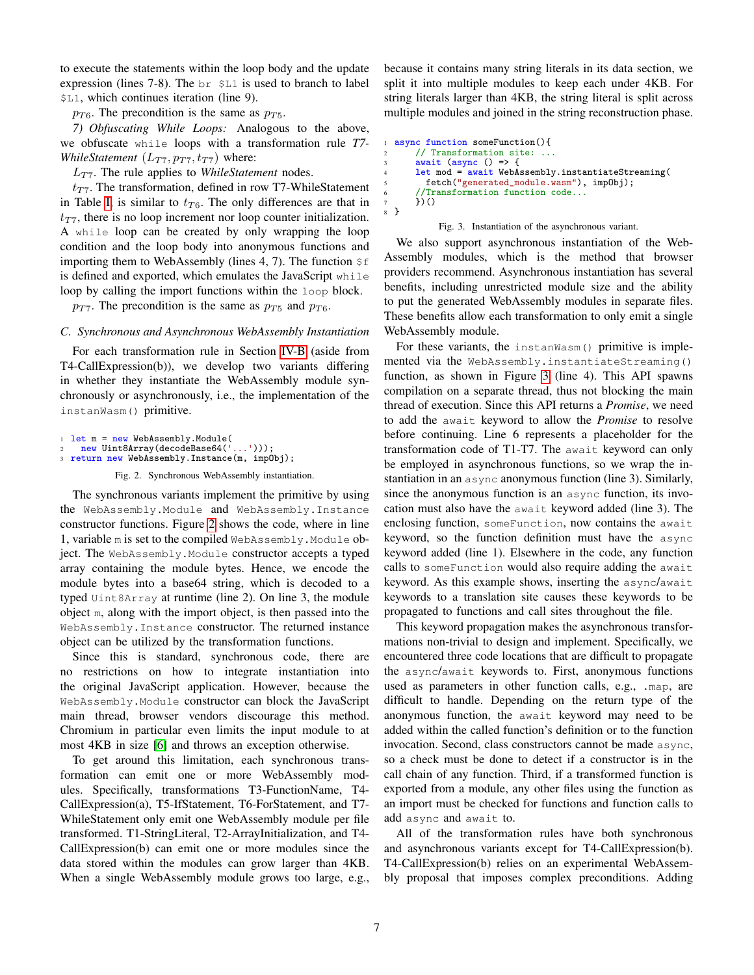to execute the statements within the loop body and the update expression (lines 7-8). The  $br \$  $5L1$  is used to branch to label \$L1, which continues iteration (line 9).

 $p_{T6}$ . The precondition is the same as  $p_{T5}$ .

<span id="page-6-0"></span>*7) Obfuscating While Loops:* Analogous to the above, we obfuscate while loops with a transformation rule *T7- WhileStatement*  $(L_{T7}, p_{T7}, t_{T7})$  where:

 $L_{T7}$ . The rule applies to *WhileStatement* nodes.

 $t_{T7}$ . The transformation, defined in row T7-WhileStatement in Table [I,](#page-3-1) is similar to  $t_{T6}$ . The only differences are that in  $t_{T7}$ , there is no loop increment nor loop counter initialization. A while loop can be created by only wrapping the loop condition and the loop body into anonymous functions and importing them to WebAssembly (lines 4, 7). The function  $\frac{1}{2}f$ is defined and exported, which emulates the JavaScript while loop by calling the import functions within the loop block.

 $p_{T7}$ . The precondition is the same as  $p_{T5}$  and  $p_{T6}$ .

#### <span id="page-6-1"></span>*C. Synchronous and Asynchronous WebAssembly Instantiation*

For each transformation rule in Section [IV-B](#page-2-1) (aside from T4-CallExpression(b)), we develop two variants differing in whether they instantiate the WebAssembly module synchronously or asynchronously, i.e., the implementation of the instanWasm() primitive.

```
1 let m = new WebAssembly.Module(new Uint8Array(decodeBase64('...')));
3 return new WebAssembly.Instance(m, impObj);
```
Fig. 2. Synchronous WebAssembly instantiation.

The synchronous variants implement the primitive by using the WebAssembly.Module and WebAssembly.Instance constructor functions. Figure [2](#page-6-2) shows the code, where in line 1, variable m is set to the compiled WebAssembly.Module object. The WebAssembly.Module constructor accepts a typed array containing the module bytes. Hence, we encode the module bytes into a base64 string, which is decoded to a typed Uint8Array at runtime (line 2). On line 3, the module object m, along with the import object, is then passed into the WebAssembly.Instance constructor. The returned instance object can be utilized by the transformation functions.

Since this is standard, synchronous code, there are no restrictions on how to integrate instantiation into the original JavaScript application. However, because the WebAssembly.Module constructor can block the JavaScript main thread, browser vendors discourage this method. Chromium in particular even limits the input module to at most 4KB in size [\[6\]](#page-13-15) and throws an exception otherwise.

To get around this limitation, each synchronous transformation can emit one or more WebAssembly modules. Specifically, transformations T3-FunctionName, T4- CallExpression(a), T5-IfStatement, T6-ForStatement, and T7- WhileStatement only emit one WebAssembly module per file transformed. T1-StringLiteral, T2-ArrayInitialization, and T4- CallExpression(b) can emit one or more modules since the data stored within the modules can grow larger than 4KB. When a single WebAssembly module grows too large, e.g., because it contains many string literals in its data section, we split it into multiple modules to keep each under 4KB. For string literals larger than 4KB, the string literal is split across multiple modules and joined in the string reconstruction phase.

```
async function someFunction(){
      // Transformation site:
      await (async () \Rightarrow {
      let \mod = await WebAssembly.instantiateStreaming(
        5 fetch("generated_module.wasm"), impObj);
       //Transformation function code...
7 \rightarrow })()
8 }
```
#### Fig. 3. Instantiation of the asynchronous variant.

<span id="page-6-3"></span>We also support asynchronous instantiation of the Web-Assembly modules, which is the method that browser providers recommend. Asynchronous instantiation has several benefits, including unrestricted module size and the ability to put the generated WebAssembly modules in separate files. These benefits allow each transformation to only emit a single WebAssembly module.

For these variants, the instanWasm() primitive is implemented via the WebAssembly.instantiateStreaming() function, as shown in Figure [3](#page-6-3) (line 4). This API spawns compilation on a separate thread, thus not blocking the main thread of execution. Since this API returns a *Promise*, we need to add the await keyword to allow the *Promise* to resolve before continuing. Line 6 represents a placeholder for the transformation code of T1-T7. The await keyword can only be employed in asynchronous functions, so we wrap the instantiation in an async anonymous function (line 3). Similarly, since the anonymous function is an async function, its invocation must also have the await keyword added (line 3). The enclosing function, someFunction, now contains the await keyword, so the function definition must have the async keyword added (line 1). Elsewhere in the code, any function calls to someFunction would also require adding the await keyword. As this example shows, inserting the async/await keywords to a translation site causes these keywords to be propagated to functions and call sites throughout the file.

This keyword propagation makes the asynchronous transformations non-trivial to design and implement. Specifically, we encountered three code locations that are difficult to propagate the async/await keywords to. First, anonymous functions used as parameters in other function calls, e.g., .map, are difficult to handle. Depending on the return type of the anonymous function, the await keyword may need to be added within the called function's definition or to the function invocation. Second, class constructors cannot be made async, so a check must be done to detect if a constructor is in the call chain of any function. Third, if a transformed function is exported from a module, any other files using the function as an import must be checked for functions and function calls to add async and await to.

All of the transformation rules have both synchronous and asynchronous variants except for T4-CallExpression(b). T4-CallExpression(b) relies on an experimental WebAssembly proposal that imposes complex preconditions. Adding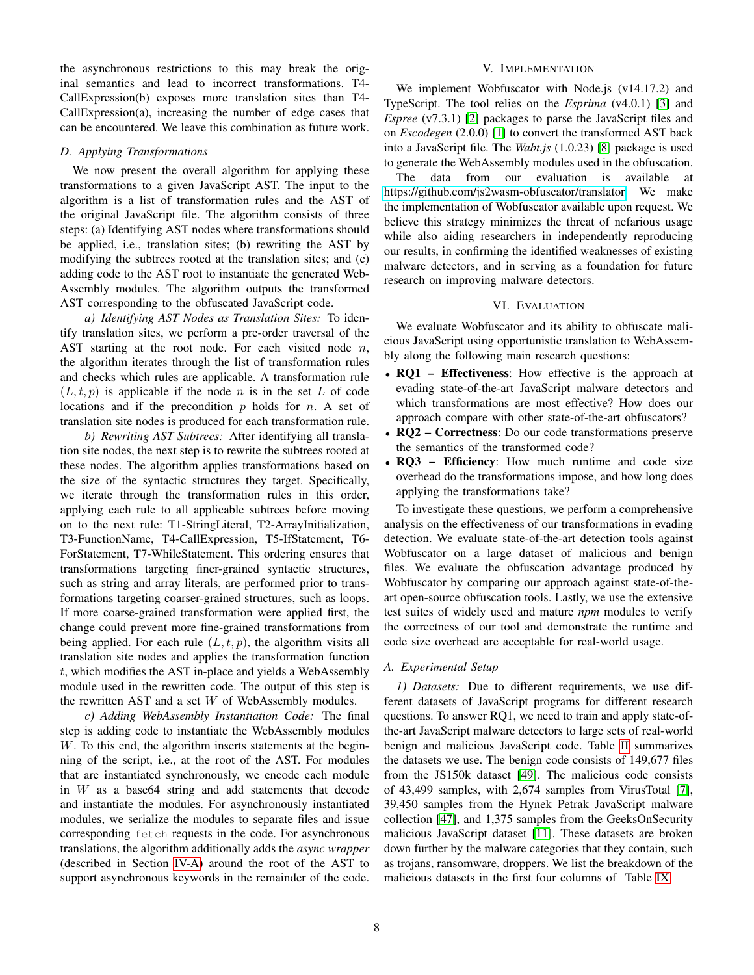the asynchronous restrictions to this may break the original semantics and lead to incorrect transformations. T4- CallExpression(b) exposes more translation sites than T4- CallExpression(a), increasing the number of edge cases that can be encountered. We leave this combination as future work.

#### *D. Applying Transformations*

We now present the overall algorithm for applying these transformations to a given JavaScript AST. The input to the algorithm is a list of transformation rules and the AST of the original JavaScript file. The algorithm consists of three steps: (a) Identifying AST nodes where transformations should be applied, i.e., translation sites; (b) rewriting the AST by modifying the subtrees rooted at the translation sites; and (c) adding code to the AST root to instantiate the generated Web-Assembly modules. The algorithm outputs the transformed AST corresponding to the obfuscated JavaScript code.

*a) Identifying AST Nodes as Translation Sites:* To identify translation sites, we perform a pre-order traversal of the AST starting at the root node. For each visited node  $n$ , the algorithm iterates through the list of transformation rules and checks which rules are applicable. A transformation rule  $(L, t, p)$  is applicable if the node n is in the set L of code locations and if the precondition  $p$  holds for  $n$ . A set of translation site nodes is produced for each transformation rule.

*b) Rewriting AST Subtrees:* After identifying all translation site nodes, the next step is to rewrite the subtrees rooted at these nodes. The algorithm applies transformations based on the size of the syntactic structures they target. Specifically, we iterate through the transformation rules in this order, applying each rule to all applicable subtrees before moving on to the next rule: T1-StringLiteral, T2-ArrayInitialization, T3-FunctionName, T4-CallExpression, T5-IfStatement, T6- ForStatement, T7-WhileStatement. This ordering ensures that transformations targeting finer-grained syntactic structures, such as string and array literals, are performed prior to transformations targeting coarser-grained structures, such as loops. If more coarse-grained transformation were applied first, the change could prevent more fine-grained transformations from being applied. For each rule  $(L, t, p)$ , the algorithm visits all translation site nodes and applies the transformation function t, which modifies the AST in-place and yields a WebAssembly module used in the rewritten code. The output of this step is the rewritten AST and a set  $W$  of WebAssembly modules.

*c) Adding WebAssembly Instantiation Code:* The final step is adding code to instantiate the WebAssembly modules W. To this end, the algorithm inserts statements at the beginning of the script, i.e., at the root of the AST. For modules that are instantiated synchronously, we encode each module in  $W$  as a base 64 string and add statements that decode and instantiate the modules. For asynchronously instantiated modules, we serialize the modules to separate files and issue corresponding fetch requests in the code. For asynchronous translations, the algorithm additionally adds the *async wrapper* (described in Section [IV-A\)](#page-2-2) around the root of the AST to support asynchronous keywords in the remainder of the code.

# V. IMPLEMENTATION

We implement Wobfuscator with Node.js (v14.17.2) and TypeScript. The tool relies on the *Esprima* (v4.0.1) [\[3\]](#page-13-16) and *Espree* (v7.3.1) [\[2\]](#page-13-17) packages to parse the JavaScript files and on *Escodegen* (2.0.0) [\[1\]](#page-13-18) to convert the transformed AST back into a JavaScript file. The *Wabt.js* (1.0.23) [\[8\]](#page-13-19) package is used to generate the WebAssembly modules used in the obfuscation.

The data from our evaluation is available at [https://github.com/js2wasm-obfuscator/translator.](https://github.com/js2wasm-obfuscator/translator) We make the implementation of Wobfuscator available upon request. We believe this strategy minimizes the threat of nefarious usage while also aiding researchers in independently reproducing our results, in confirming the identified weaknesses of existing malware detectors, and in serving as a foundation for future research on improving malware detectors.

## VI. EVALUATION

We evaluate Wobfuscator and its ability to obfuscate malicious JavaScript using opportunistic translation to WebAssembly along the following main research questions:

- RQ1 Effectiveness: How effective is the approach at evading state-of-the-art JavaScript malware detectors and which transformations are most effective? How does our approach compare with other state-of-the-art obfuscators?
- RQ2 Correctness: Do our code transformations preserve the semantics of the transformed code?
- RQ3 Efficiency: How much runtime and code size overhead do the transformations impose, and how long does applying the transformations take?

To investigate these questions, we perform a comprehensive analysis on the effectiveness of our transformations in evading detection. We evaluate state-of-the-art detection tools against Wobfuscator on a large dataset of malicious and benign files. We evaluate the obfuscation advantage produced by Wobfuscator by comparing our approach against state-of-theart open-source obfuscation tools. Lastly, we use the extensive test suites of widely used and mature *npm* modules to verify the correctness of our tool and demonstrate the runtime and code size overhead are acceptable for real-world usage.

#### *A. Experimental Setup*

*1) Datasets:* Due to different requirements, we use different datasets of JavaScript programs for different research questions. To answer RQ1, we need to train and apply state-ofthe-art JavaScript malware detectors to large sets of real-world benign and malicious JavaScript code. Table [II](#page-8-0) summarizes the datasets we use. The benign code consists of 149,677 files from the JS150k dataset [\[49\]](#page-14-16). The malicious code consists of 43,499 samples, with 2,674 samples from VirusTotal [\[7\]](#page-13-20), 39,450 samples from the Hynek Petrak JavaScript malware collection [\[47\]](#page-14-17), and 1,375 samples from the GeeksOnSecurity malicious JavaScript dataset [\[11\]](#page-13-21). These datasets are broken down further by the malware categories that they contain, such as trojans, ransomware, droppers. We list the breakdown of the malicious datasets in the first four columns of Table [IX.](#page-15-0)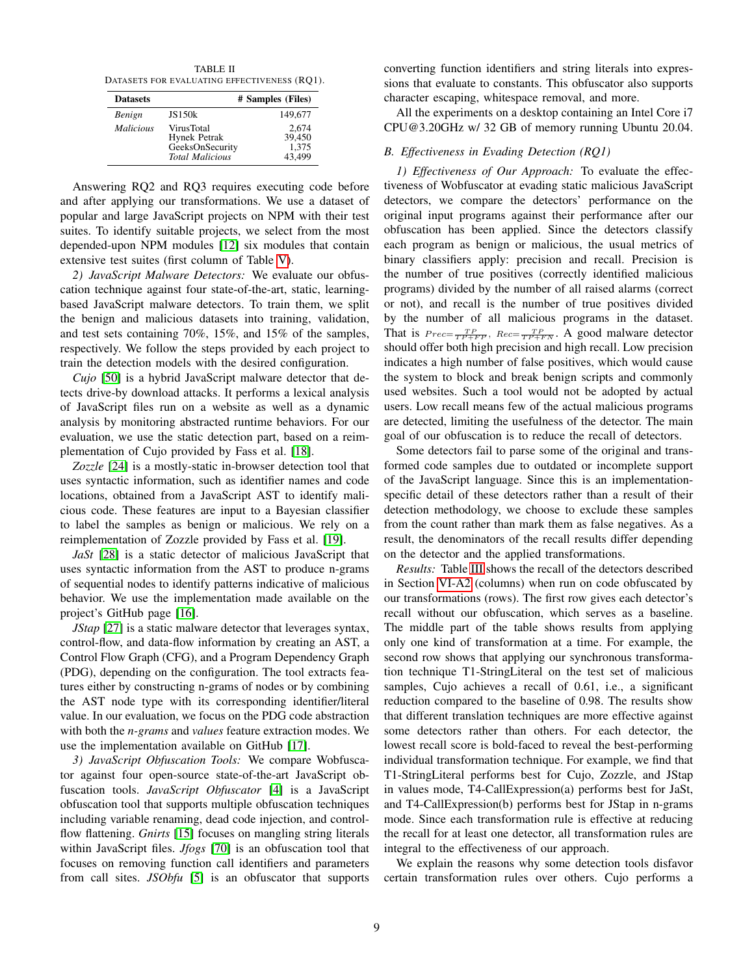<span id="page-8-0"></span>TABLE II DATASETS FOR EVALUATING EFFECTIVENESS (RQ1).

| <b>Datasets</b>  |                                                                         | # Samples (Files)                  |
|------------------|-------------------------------------------------------------------------|------------------------------------|
| Benign           | JS150 <sub>k</sub>                                                      | 149,677                            |
| <i>Malicious</i> | VirusTotal<br>Hynek Petrak<br>GeeksOnSecurity<br><b>Total Malicious</b> | 2,674<br>39.450<br>1,375<br>43.499 |

Answering RQ2 and RQ3 requires executing code before and after applying our transformations. We use a dataset of popular and large JavaScript projects on NPM with their test suites. To identify suitable projects, we select from the most depended-upon NPM modules [\[12\]](#page-13-22) six modules that contain extensive test suites (first column of Table [V\)](#page-11-0).

<span id="page-8-1"></span>*2) JavaScript Malware Detectors:* We evaluate our obfuscation technique against four state-of-the-art, static, learningbased JavaScript malware detectors. To train them, we split the benign and malicious datasets into training, validation, and test sets containing 70%, 15%, and 15% of the samples, respectively. We follow the steps provided by each project to train the detection models with the desired configuration.

*Cujo* [\[50\]](#page-14-7) is a hybrid JavaScript malware detector that detects drive-by download attacks. It performs a lexical analysis of JavaScript files run on a website as well as a dynamic analysis by monitoring abstracted runtime behaviors. For our evaluation, we use the static detection part, based on a reimplementation of Cujo provided by Fass et al. [\[18\]](#page-13-23).

*Zozzle* [\[24\]](#page-13-6) is a mostly-static in-browser detection tool that uses syntactic information, such as identifier names and code locations, obtained from a JavaScript AST to identify malicious code. These features are input to a Bayesian classifier to label the samples as benign or malicious. We rely on a reimplementation of Zozzle provided by Fass et al. [\[19\]](#page-13-24).

*JaSt* [\[28\]](#page-13-7) is a static detector of malicious JavaScript that uses syntactic information from the AST to produce n-grams of sequential nodes to identify patterns indicative of malicious behavior. We use the implementation made available on the project's GitHub page [\[16\]](#page-13-25).

*JStap* [\[27\]](#page-13-8) is a static malware detector that leverages syntax, control-flow, and data-flow information by creating an AST, a Control Flow Graph (CFG), and a Program Dependency Graph (PDG), depending on the configuration. The tool extracts features either by constructing n-grams of nodes or by combining the AST node type with its corresponding identifier/literal value. In our evaluation, we focus on the PDG code abstraction with both the *n-grams* and *values* feature extraction modes. We use the implementation available on GitHub [\[17\]](#page-13-13).

<span id="page-8-3"></span>*3) JavaScript Obfuscation Tools:* We compare Wobfuscator against four open-source state-of-the-art JavaScript obfuscation tools. *JavaScript Obfuscator* [\[4\]](#page-13-26) is a JavaScript obfuscation tool that supports multiple obfuscation techniques including variable renaming, dead code injection, and controlflow flattening. *Gnirts* [\[15\]](#page-13-27) focuses on mangling string literals within JavaScript files. *Jfogs* [\[70\]](#page-14-18) is an obfuscation tool that focuses on removing function call identifiers and parameters from call sites. *JSObfu* [\[5\]](#page-13-28) is an obfuscator that supports converting function identifiers and string literals into expressions that evaluate to constants. This obfuscator also supports character escaping, whitespace removal, and more.

All the experiments on a desktop containing an Intel Core i7 CPU@3.20GHz w/ 32 GB of memory running Ubuntu 20.04.

## *B. Effectiveness in Evading Detection (RQ1)*

<span id="page-8-2"></span>*1) Effectiveness of Our Approach:* To evaluate the effectiveness of Wobfuscator at evading static malicious JavaScript detectors, we compare the detectors' performance on the original input programs against their performance after our obfuscation has been applied. Since the detectors classify each program as benign or malicious, the usual metrics of binary classifiers apply: precision and recall. Precision is the number of true positives (correctly identified malicious programs) divided by the number of all raised alarms (correct or not), and recall is the number of true positives divided by the number of all malicious programs in the dataset. That is  $Prec = \frac{TP}{TP + FP}$ ,  $Rec = \frac{TP}{TP + FN}$ . A good malware detector should offer both high precision and high recall. Low precision indicates a high number of false positives, which would cause the system to block and break benign scripts and commonly used websites. Such a tool would not be adopted by actual users. Low recall means few of the actual malicious programs are detected, limiting the usefulness of the detector. The main goal of our obfuscation is to reduce the recall of detectors.

Some detectors fail to parse some of the original and transformed code samples due to outdated or incomplete support of the JavaScript language. Since this is an implementationspecific detail of these detectors rather than a result of their detection methodology, we choose to exclude these samples from the count rather than mark them as false negatives. As a result, the denominators of the recall results differ depending on the detector and the applied transformations.

*Results:* Table [III](#page-9-0) shows the recall of the detectors described in Section [VI-A2](#page-8-1) (columns) when run on code obfuscated by our transformations (rows). The first row gives each detector's recall without our obfuscation, which serves as a baseline. The middle part of the table shows results from applying only one kind of transformation at a time. For example, the second row shows that applying our synchronous transformation technique T1-StringLiteral on the test set of malicious samples, Cujo achieves a recall of 0.61, i.e., a significant reduction compared to the baseline of 0.98. The results show that different translation techniques are more effective against some detectors rather than others. For each detector, the lowest recall score is bold-faced to reveal the best-performing individual transformation technique. For example, we find that T1-StringLiteral performs best for Cujo, Zozzle, and JStap in values mode, T4-CallExpression(a) performs best for JaSt, and T4-CallExpression(b) performs best for JStap in n-grams mode. Since each transformation rule is effective at reducing the recall for at least one detector, all transformation rules are integral to the effectiveness of our approach.

We explain the reasons why some detection tools disfavor certain transformation rules over others. Cujo performs a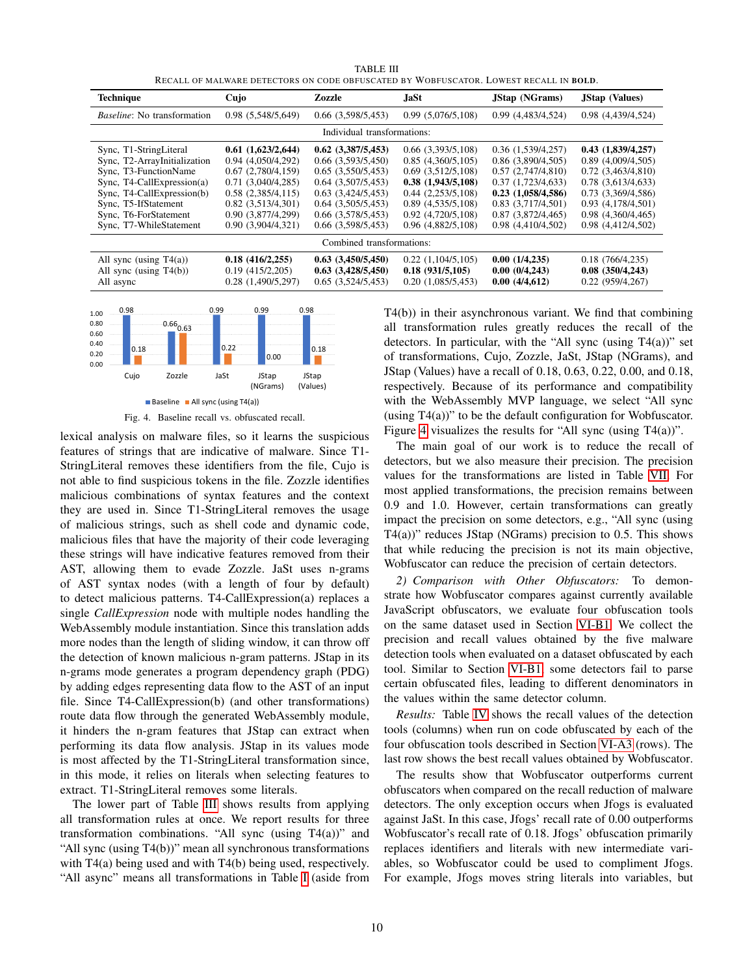TABLE III RECALL OF MALWARE DETECTORS ON CODE OBFUSCATED BY WOBFUSCATOR. LOWEST RECALL IN BOLD.

<span id="page-9-0"></span>

| <b>Technique</b>                                                                                                                                                                                                          | Cujo                                                                                                                                                                 | Zozzle                                                                                                                                                                    | <b>JaSt</b>                                                                                                                                                          | <b>JStap</b> (NGrams)                                                                                                                                                 | <b>JStap</b> (Values)                                                                                                                                                |  |  |  |
|---------------------------------------------------------------------------------------------------------------------------------------------------------------------------------------------------------------------------|----------------------------------------------------------------------------------------------------------------------------------------------------------------------|---------------------------------------------------------------------------------------------------------------------------------------------------------------------------|----------------------------------------------------------------------------------------------------------------------------------------------------------------------|-----------------------------------------------------------------------------------------------------------------------------------------------------------------------|----------------------------------------------------------------------------------------------------------------------------------------------------------------------|--|--|--|
| <i>Baseline:</i> No transformation                                                                                                                                                                                        | 0.98(5,548/5,649)                                                                                                                                                    | 0.66(3,598/5,453)                                                                                                                                                         | 0.99(5,076/5,108)                                                                                                                                                    | 0.99 (4,483/4,524)                                                                                                                                                    | 0.98(4,439/4,524)                                                                                                                                                    |  |  |  |
| Individual transformations:                                                                                                                                                                                               |                                                                                                                                                                      |                                                                                                                                                                           |                                                                                                                                                                      |                                                                                                                                                                       |                                                                                                                                                                      |  |  |  |
| Sync, T1-StringLiteral<br>Sync, T2-ArrayInitialization<br>Sync, T3-FunctionName<br>$Sync, T4-CallExpression(a)$<br>Sync, T4-CallExpression(b)<br>Sync, T5-IfStatement<br>Sync, T6-ForStatement<br>Sync, T7-WhileStatement | 0.61(1,623/2,644)<br>0.94(4,050/4,292)<br>0.67(2,780/4,159)<br>0.71(3.040/4.285)<br>0.58(2,385/4,115)<br>0.82(3.513/4.301)<br>0.90(3,877/4,299)<br>0.90(3,904/4,321) | $0.62$ $(3,387/5,453)$<br>0.66(3,593/5,450)<br>0.65(3,550/5,453)<br>0.64(3.507/5.453)<br>0.63(3,424/5,453)<br>0.64(3.505/5.453)<br>0.66(3,578/5,453)<br>0.66(3,598/5,453) | 0.66(3,393/5,108)<br>0.85(4,360/5,105)<br>0.69(3.512/5.108)<br>0.38(1.943/5.108)<br>0.44(2,253/5,108)<br>0.89(4.535/5.108)<br>0.92(4,720/5,108)<br>0.96(4,882/5,108) | 0.36(1.539/4.257)<br>0.86(3,890/4,505)<br>0.57(2,747/4,810)<br>0.37(1.723/4.633)<br>0.23(1,058/4,586)<br>0.83(3.717/4.501)<br>0.87(3,872/4,465)<br>0.98 (4,410/4,502) | 0.43(1,839/4,257)<br>0.89(4,009/4,505)<br>0.72(3,463/4,810)<br>0.78(3.613/4.633)<br>0.73(3,369/4,586)<br>0.93(4.178/4.501)<br>0.98(4,360/4,465)<br>0.98(4,412/4,502) |  |  |  |
| Combined transformations:                                                                                                                                                                                                 |                                                                                                                                                                      |                                                                                                                                                                           |                                                                                                                                                                      |                                                                                                                                                                       |                                                                                                                                                                      |  |  |  |
| All sync (using $T4(a)$ )<br>All sync (using $T4(b)$ )<br>All async                                                                                                                                                       | 0.18(416/2,255)<br>0.19(415/2,205)<br>0.28(1,490/5,297)                                                                                                              | 0.63(3,450/5,450)<br>0.63(3,428/5,450)<br>0.65(3,524/5,453)                                                                                                               | 0.22(1,104/5,105)<br>0.18(931/5,105)<br>0.20(1,085/5,453)                                                                                                            | 0.00(1/4,235)<br>0.00(0/4,243)<br>0.00(4/4,612)                                                                                                                       | 0.18(766/4,235)<br>0.08(350/4,243)<br>0.22(959/4,267)                                                                                                                |  |  |  |



Fig. 4. Baseline recall vs. obfuscated recall.

lexical analysis on malware files, so it learns the suspicious features of strings that are indicative of malware. Since T1- StringLiteral removes these identifiers from the file, Cujo is not able to find suspicious tokens in the file. Zozzle identifies malicious combinations of syntax features and the context they are used in. Since T1-StringLiteral removes the usage of malicious strings, such as shell code and dynamic code, malicious files that have the majority of their code leveraging these strings will have indicative features removed from their AST, allowing them to evade Zozzle. JaSt uses n-grams of AST syntax nodes (with a length of four by default) to detect malicious patterns. T4-CallExpression(a) replaces a single *CallExpression* node with multiple nodes handling the WebAssembly module instantiation. Since this translation adds more nodes than the length of sliding window, it can throw off the detection of known malicious n-gram patterns. JStap in its n-grams mode generates a program dependency graph (PDG) by adding edges representing data flow to the AST of an input file. Since T4-CallExpression(b) (and other transformations) route data flow through the generated WebAssembly module, it hinders the n-gram features that JStap can extract when performing its data flow analysis. JStap in its values mode is most affected by the T1-StringLiteral transformation since, in this mode, it relies on literals when selecting features to extract. T1-StringLiteral removes some literals.

The lower part of Table [III](#page-9-0) shows results from applying all transformation rules at once. We report results for three transformation combinations. "All sync (using T4(a))" and "All sync (using T4(b))" mean all synchronous transformations with T4(a) being used and with T4(b) being used, respectively. "All async" means all transformations in Table [I](#page-3-1) (aside from T4(b)) in their asynchronous variant. We find that combining all transformation rules greatly reduces the recall of the detectors. In particular, with the "All sync (using T4(a))" set of transformations, Cujo, Zozzle, JaSt, JStap (NGrams), and JStap (Values) have a recall of 0.18, 0.63, 0.22, 0.00, and 0.18, respectively. Because of its performance and compatibility with the WebAssembly MVP language, we select "All sync (using  $T_4(a)$ )" to be the default configuration for Wobfuscator. Figure [4](#page-9-1) visualizes the results for "All sync (using T4(a))".

<span id="page-9-1"></span>The main goal of our work is to reduce the recall of detectors, but we also measure their precision. The precision values for the transformations are listed in Table [VII.](#page-15-1) For most applied transformations, the precision remains between 0.9 and 1.0. However, certain transformations can greatly impact the precision on some detectors, e.g., "All sync (using  $T4(a)$ )" reduces JStap (NGrams) precision to 0.5. This shows that while reducing the precision is not its main objective, Wobfuscator can reduce the precision of certain detectors.

*2) Comparison with Other Obfuscators:* To demonstrate how Wobfuscator compares against currently available JavaScript obfuscators, we evaluate four obfuscation tools on the same dataset used in Section [VI-B1.](#page-8-2) We collect the precision and recall values obtained by the five malware detection tools when evaluated on a dataset obfuscated by each tool. Similar to Section [VI-B1,](#page-8-2) some detectors fail to parse certain obfuscated files, leading to different denominators in the values within the same detector column.

*Results:* Table [IV](#page-10-0) shows the recall values of the detection tools (columns) when run on code obfuscated by each of the four obfuscation tools described in Section [VI-A3](#page-8-3) (rows). The last row shows the best recall values obtained by Wobfuscator.

The results show that Wobfuscator outperforms current obfuscators when compared on the recall reduction of malware detectors. The only exception occurs when Jfogs is evaluated against JaSt. In this case, Jfogs' recall rate of 0.00 outperforms Wobfuscator's recall rate of 0.18. Jfogs' obfuscation primarily replaces identifiers and literals with new intermediate variables, so Wobfuscator could be used to compliment Jfogs. For example, Jfogs moves string literals into variables, but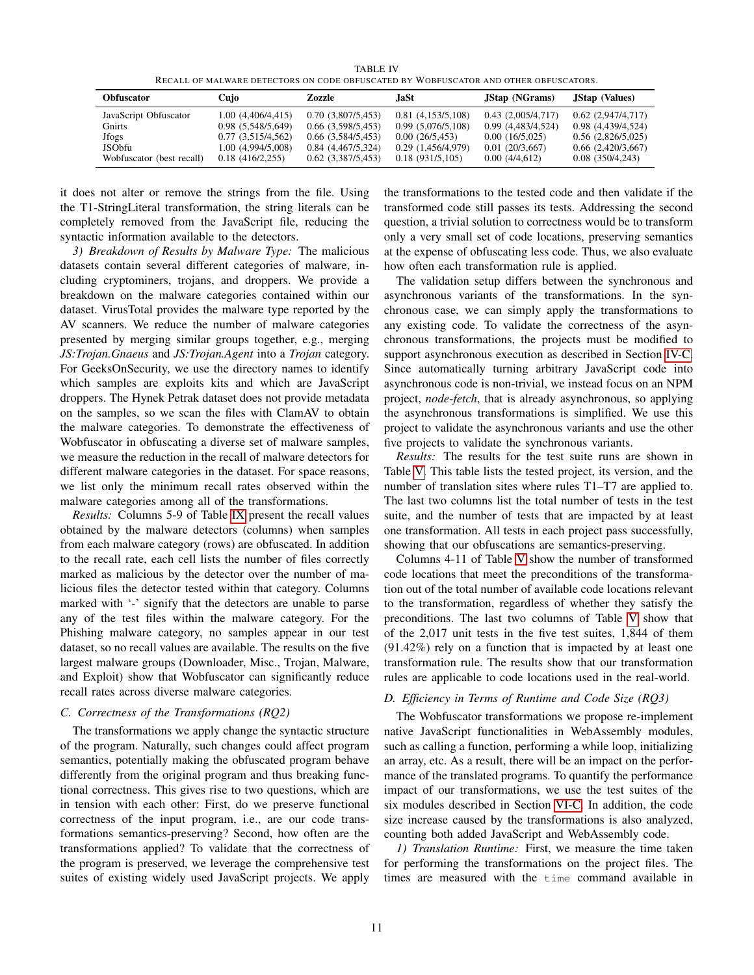| <b>TABLE IV</b>                                                                      |
|--------------------------------------------------------------------------------------|
| RECALL OF MALWARE DETECTORS ON CODE OBFUSCATED BY WOBFUSCATOR AND OTHER OBFUSCATORS. |

<span id="page-10-0"></span>

| <b>Obfuscator</b>         | Cujo               | Zozzle            | .IaSt             | <b>JStap</b> (NGrams) | <b>JStap</b> (Values) |
|---------------------------|--------------------|-------------------|-------------------|-----------------------|-----------------------|
| JavaScript Obfuscator     | 1.00 (4,406/4,415) | 0.70(3,807/5,453) | 0.81(4,153/5,108) | 0.43(2,005/4,717)     | 0.62(2.947/4.717)     |
| Gnirts                    | 0.98 (5,548/5,649) | 0.66(3,598/5,453) | 0.99(5,076/5,108) | 0.99(4,483/4,524)     | 0.98 (4,439/4,524)    |
| Jfogs                     | 0.77(3.515/4.562)  | 0.66(3,584/5,453) | 0.00(26/5,453)    | 0.00(16/5,025)        | 0.56(2,826/5,025)     |
| JSObfu                    | 1.00 (4,994/5,008) | 0.84(4,467/5,324) | 0.29(1,456/4,979) | 0.01(20/3,667)        | 0.66(2,420/3,667)     |
| Wobfuscator (best recall) | 0.18(416/2,255)    | 0.62(3,387/5,453) | 0.18(931/5.105)   | 0.00(4/4,612)         | 0.08(350/4,243)       |

it does not alter or remove the strings from the file. Using the T1-StringLiteral transformation, the string literals can be completely removed from the JavaScript file, reducing the syntactic information available to the detectors.

*3) Breakdown of Results by Malware Type:* The malicious datasets contain several different categories of malware, including cryptominers, trojans, and droppers. We provide a breakdown on the malware categories contained within our dataset. VirusTotal provides the malware type reported by the AV scanners. We reduce the number of malware categories presented by merging similar groups together, e.g., merging *JS:Trojan.Gnaeus* and *JS:Trojan.Agent* into a *Trojan* category. For GeeksOnSecurity, we use the directory names to identify which samples are exploits kits and which are JavaScript droppers. The Hynek Petrak dataset does not provide metadata on the samples, so we scan the files with ClamAV to obtain the malware categories. To demonstrate the effectiveness of Wobfuscator in obfuscating a diverse set of malware samples, we measure the reduction in the recall of malware detectors for different malware categories in the dataset. For space reasons, we list only the minimum recall rates observed within the malware categories among all of the transformations.

*Results:* Columns 5-9 of Table [IX](#page-15-0) present the recall values obtained by the malware detectors (columns) when samples from each malware category (rows) are obfuscated. In addition to the recall rate, each cell lists the number of files correctly marked as malicious by the detector over the number of malicious files the detector tested within that category. Columns marked with '-' signify that the detectors are unable to parse any of the test files within the malware category. For the Phishing malware category, no samples appear in our test dataset, so no recall values are available. The results on the five largest malware groups (Downloader, Misc., Trojan, Malware, and Exploit) show that Wobfuscator can significantly reduce recall rates across diverse malware categories.

## <span id="page-10-1"></span>*C. Correctness of the Transformations (RQ2)*

The transformations we apply change the syntactic structure of the program. Naturally, such changes could affect program semantics, potentially making the obfuscated program behave differently from the original program and thus breaking functional correctness. This gives rise to two questions, which are in tension with each other: First, do we preserve functional correctness of the input program, i.e., are our code transformations semantics-preserving? Second, how often are the transformations applied? To validate that the correctness of the program is preserved, we leverage the comprehensive test suites of existing widely used JavaScript projects. We apply the transformations to the tested code and then validate if the transformed code still passes its tests. Addressing the second question, a trivial solution to correctness would be to transform only a very small set of code locations, preserving semantics at the expense of obfuscating less code. Thus, we also evaluate how often each transformation rule is applied.

The validation setup differs between the synchronous and asynchronous variants of the transformations. In the synchronous case, we can simply apply the transformations to any existing code. To validate the correctness of the asynchronous transformations, the projects must be modified to support asynchronous execution as described in Section [IV-C.](#page-6-1) Since automatically turning arbitrary JavaScript code into asynchronous code is non-trivial, we instead focus on an NPM project, *node-fetch*, that is already asynchronous, so applying the asynchronous transformations is simplified. We use this project to validate the asynchronous variants and use the other five projects to validate the synchronous variants.

*Results:* The results for the test suite runs are shown in Table [V.](#page-11-0) This table lists the tested project, its version, and the number of translation sites where rules T1–T7 are applied to. The last two columns list the total number of tests in the test suite, and the number of tests that are impacted by at least one transformation. All tests in each project pass successfully, showing that our obfuscations are semantics-preserving.

Columns 4-11 of Table [V](#page-11-0) show the number of transformed code locations that meet the preconditions of the transformation out of the total number of available code locations relevant to the transformation, regardless of whether they satisfy the preconditions. The last two columns of Table [V](#page-11-0) show that of the 2,017 unit tests in the five test suites, 1,844 of them (91.42%) rely on a function that is impacted by at least one transformation rule. The results show that our transformation rules are applicable to code locations used in the real-world.

# *D. Efficiency in Terms of Runtime and Code Size (RQ3)*

The Wobfuscator transformations we propose re-implement native JavaScript functionalities in WebAssembly modules, such as calling a function, performing a while loop, initializing an array, etc. As a result, there will be an impact on the performance of the translated programs. To quantify the performance impact of our transformations, we use the test suites of the six modules described in Section [VI-C.](#page-10-1) In addition, the code size increase caused by the transformations is also analyzed, counting both added JavaScript and WebAssembly code.

*1) Translation Runtime:* First, we measure the time taken for performing the transformations on the project files. The times are measured with the time command available in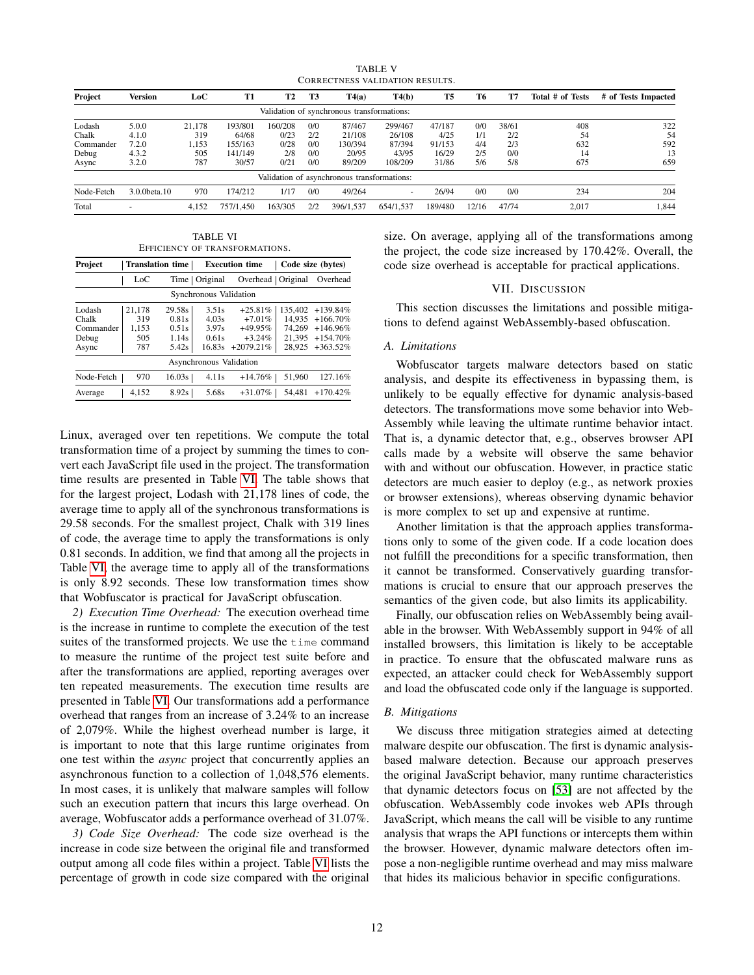| <b>TABLE V</b>                  |  |
|---------------------------------|--|
| CORRECTNESS VALIDATION RESULTS. |  |

<span id="page-11-0"></span>

| Project    | <b>Version</b>           | LoC    | T1        | T <sub>2</sub> | T3  | T4(a)                                       | T4(b)                    | T <sub>5</sub> | T6    | T7    | Total # of Tests | # of Tests Impacted |
|------------|--------------------------|--------|-----------|----------------|-----|---------------------------------------------|--------------------------|----------------|-------|-------|------------------|---------------------|
|            |                          |        |           |                |     | Validation of synchronous transformations:  |                          |                |       |       |                  |                     |
| Lodash     | 5.0.0                    | 21.178 | 193/801   | 160/208        | 0/0 | 87/467                                      | 299/467                  | 47/187         | 0/0   | 38/61 | 408              | 322                 |
| Chalk      | 4.1.0                    | 319    | 64/68     | 0/23           | 2/2 | 21/108                                      | 26/108                   | 4/25           | 1/1   | 2/2   | 54               | 54                  |
| Commander  | 7.2.0                    | 1.153  | 155/163   | 0/28           | 0/0 | 130/394                                     | 87/394                   | 91/153         | 4/4   | 2/3   | 632              | 592                 |
| Debug      | 4.3.2                    | 505    | 141/149   | 2/8            | 0/0 | 20/95                                       | 43/95                    | 16/29          | 2/5   | 0/0   | 14               | 13                  |
| Async      | 3.2.0                    | 787    | 30/57     | 0/21           | 0/0 | 89/209                                      | 108/209                  | 31/86          | 5/6   | 5/8   | 675              | 659                 |
|            |                          |        |           |                |     | Validation of asynchronous transformations: |                          |                |       |       |                  |                     |
| Node-Fetch | 3.0.0beta.10             | 970    | 174/212   | 1/17           | 0/0 | 49/264                                      | $\overline{\phantom{a}}$ | 26/94          | 0/0   | 0/0   | 234              | 204                 |
| Total      | $\overline{\phantom{a}}$ | 4.152  | 757/1.450 | 163/305        | 2/2 | 396/1.537                                   | 654/1,537                | 189/480        | 12/16 | 47/74 | 2,017            | 1,844               |

TABLE VI EFFICIENCY OF TRANSFORMATIONS.

<span id="page-11-1"></span>

| Project                |              | <b>Translation time</b> |                         | <b>Execution time</b> | Code size (bytes) |             |  |  |  |  |
|------------------------|--------------|-------------------------|-------------------------|-----------------------|-------------------|-------------|--|--|--|--|
|                        | $_{\rm LoC}$ |                         | Time   Original         | Overhead   Original   |                   | Overhead    |  |  |  |  |
| Synchronous Validation |              |                         |                         |                       |                   |             |  |  |  |  |
| Lodash                 | 21,178       | 29.58s                  | 3.51s                   | $+25.81\%$            | 135.402           | $+139.84%$  |  |  |  |  |
| Chalk                  | 319          | 0.81s                   | 4.03s                   | $+7.01%$              | 14.935            | $+166.70%$  |  |  |  |  |
| Commander              | 1.153        | 0.51s                   | 3.97s                   | $+49.95\%$            | 74,269            | $+146.96%$  |  |  |  |  |
| Debug                  | 505          | 1.14s                   | 0.61s                   | $+3.24%$              | 21.395            | $+154.70%$  |  |  |  |  |
| Async                  | 787          | 5.42s                   | 16.83s                  | $+2079.21%$           | 28,925            | $+363.52\%$ |  |  |  |  |
|                        |              |                         | Asynchronous Validation |                       |                   |             |  |  |  |  |
| Node-Fetch             | 970          | 16.03s                  | 4.11s                   | $+14.76%$             | 51,960            | 127.16%     |  |  |  |  |
| Average                | 4,152        | 8.92s                   | 5.68s                   | $+31.07\%$            | 54.481            | $+170.42%$  |  |  |  |  |

Linux, averaged over ten repetitions. We compute the total transformation time of a project by summing the times to convert each JavaScript file used in the project. The transformation time results are presented in Table [VI.](#page-11-1) The table shows that for the largest project, Lodash with 21,178 lines of code, the average time to apply all of the synchronous transformations is 29.58 seconds. For the smallest project, Chalk with 319 lines of code, the average time to apply the transformations is only 0.81 seconds. In addition, we find that among all the projects in Table [VI,](#page-11-1) the average time to apply all of the transformations is only 8.92 seconds. These low transformation times show that Wobfuscator is practical for JavaScript obfuscation.

*2) Execution Time Overhead:* The execution overhead time is the increase in runtime to complete the execution of the test suites of the transformed projects. We use the time command to measure the runtime of the project test suite before and after the transformations are applied, reporting averages over ten repeated measurements. The execution time results are presented in Table [VI.](#page-11-1) Our transformations add a performance overhead that ranges from an increase of 3.24% to an increase of 2,079%. While the highest overhead number is large, it is important to note that this large runtime originates from one test within the *async* project that concurrently applies an asynchronous function to a collection of 1,048,576 elements. In most cases, it is unlikely that malware samples will follow such an execution pattern that incurs this large overhead. On average, Wobfuscator adds a performance overhead of 31.07%.

*3) Code Size Overhead:* The code size overhead is the increase in code size between the original file and transformed output among all code files within a project. Table [VI](#page-11-1) lists the percentage of growth in code size compared with the original size. On average, applying all of the transformations among the project, the code size increased by 170.42%. Overall, the code size overhead is acceptable for practical applications.

# VII. DISCUSSION

This section discusses the limitations and possible mitigations to defend against WebAssembly-based obfuscation.

# *A. Limitations*

Wobfuscator targets malware detectors based on static analysis, and despite its effectiveness in bypassing them, is unlikely to be equally effective for dynamic analysis-based detectors. The transformations move some behavior into Web-Assembly while leaving the ultimate runtime behavior intact. That is, a dynamic detector that, e.g., observes browser API calls made by a website will observe the same behavior with and without our obfuscation. However, in practice static detectors are much easier to deploy (e.g., as network proxies or browser extensions), whereas observing dynamic behavior is more complex to set up and expensive at runtime.

Another limitation is that the approach applies transformations only to some of the given code. If a code location does not fulfill the preconditions for a specific transformation, then it cannot be transformed. Conservatively guarding transformations is crucial to ensure that our approach preserves the semantics of the given code, but also limits its applicability.

Finally, our obfuscation relies on WebAssembly being available in the browser. With WebAssembly support in 94% of all installed browsers, this limitation is likely to be acceptable in practice. To ensure that the obfuscated malware runs as expected, an attacker could check for WebAssembly support and load the obfuscated code only if the language is supported.

# *B. Mitigations*

We discuss three mitigation strategies aimed at detecting malware despite our obfuscation. The first is dynamic analysisbased malware detection. Because our approach preserves the original JavaScript behavior, many runtime characteristics that dynamic detectors focus on [\[53\]](#page-14-9) are not affected by the obfuscation. WebAssembly code invokes web APIs through JavaScript, which means the call will be visible to any runtime analysis that wraps the API functions or intercepts them within the browser. However, dynamic malware detectors often impose a non-negligible runtime overhead and may miss malware that hides its malicious behavior in specific configurations.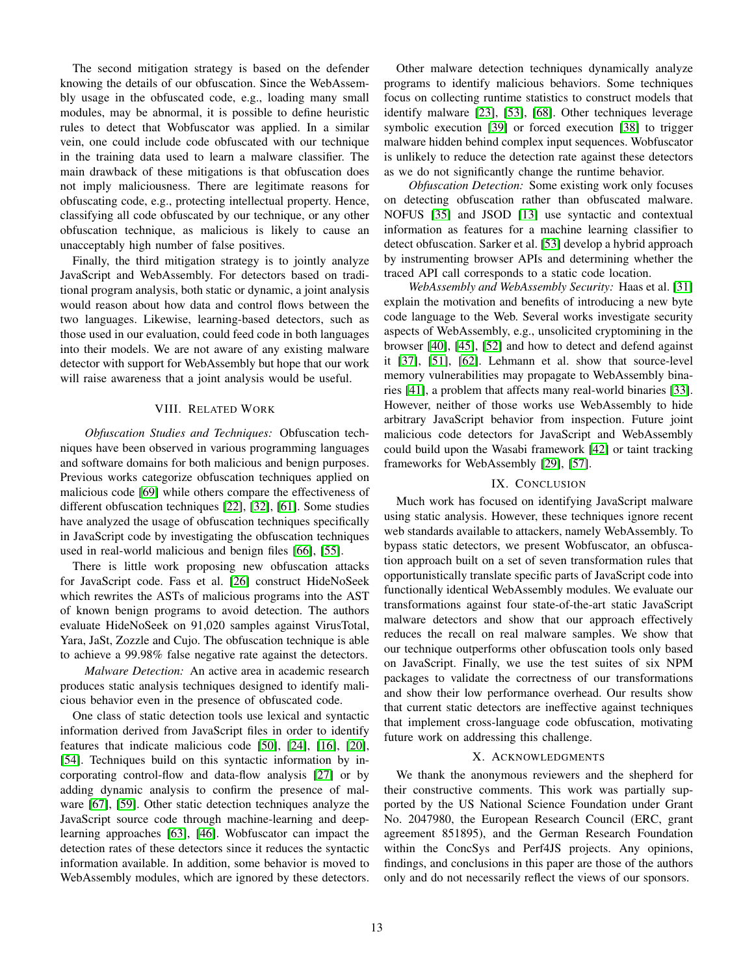The second mitigation strategy is based on the defender knowing the details of our obfuscation. Since the WebAssembly usage in the obfuscated code, e.g., loading many small modules, may be abnormal, it is possible to define heuristic rules to detect that Wobfuscator was applied. In a similar vein, one could include code obfuscated with our technique in the training data used to learn a malware classifier. The main drawback of these mitigations is that obfuscation does not imply maliciousness. There are legitimate reasons for obfuscating code, e.g., protecting intellectual property. Hence, classifying all code obfuscated by our technique, or any other obfuscation technique, as malicious is likely to cause an unacceptably high number of false positives.

Finally, the third mitigation strategy is to jointly analyze JavaScript and WebAssembly. For detectors based on traditional program analysis, both static or dynamic, a joint analysis would reason about how data and control flows between the two languages. Likewise, learning-based detectors, such as those used in our evaluation, could feed code in both languages into their models. We are not aware of any existing malware detector with support for WebAssembly but hope that our work will raise awareness that a joint analysis would be useful.

## VIII. RELATED WORK

*Obfuscation Studies and Techniques:* Obfuscation techniques have been observed in various programming languages and software domains for both malicious and benign purposes. Previous works categorize obfuscation techniques applied on malicious code [\[69\]](#page-14-19) while others compare the effectiveness of different obfuscation techniques [\[22\]](#page-13-29), [\[32\]](#page-13-30), [\[61\]](#page-14-20). Some studies have analyzed the usage of obfuscation techniques specifically in JavaScript code by investigating the obfuscation techniques used in real-world malicious and benign files [\[66\]](#page-14-12), [\[55\]](#page-14-10).

There is little work proposing new obfuscation attacks for JavaScript code. Fass et al. [\[26\]](#page-13-11) construct HideNoSeek which rewrites the ASTs of malicious programs into the AST of known benign programs to avoid detection. The authors evaluate HideNoSeek on 91,020 samples against VirusTotal, Yara, JaSt, Zozzle and Cujo. The obfuscation technique is able to achieve a 99.98% false negative rate against the detectors.

*Malware Detection:* An active area in academic research produces static analysis techniques designed to identify malicious behavior even in the presence of obfuscated code.

One class of static detection tools use lexical and syntactic information derived from JavaScript files in order to identify features that indicate malicious code [\[50\]](#page-14-7), [\[24\]](#page-13-6), [\[16\]](#page-13-25), [\[20\]](#page-13-31), [\[54\]](#page-14-15). Techniques build on this syntactic information by incorporating control-flow and data-flow analysis [\[27\]](#page-13-8) or by adding dynamic analysis to confirm the presence of malware [\[67\]](#page-14-21), [\[59\]](#page-14-22). Other static detection techniques analyze the JavaScript source code through machine-learning and deeplearning approaches [\[63\]](#page-14-11), [\[46\]](#page-14-23). Wobfuscator can impact the detection rates of these detectors since it reduces the syntactic information available. In addition, some behavior is moved to WebAssembly modules, which are ignored by these detectors.

Other malware detection techniques dynamically analyze programs to identify malicious behaviors. Some techniques focus on collecting runtime statistics to construct models that identify malware [\[23\]](#page-13-0), [\[53\]](#page-14-9), [\[68\]](#page-14-24). Other techniques leverage symbolic execution [\[39\]](#page-14-25) or forced execution [\[38\]](#page-14-26) to trigger malware hidden behind complex input sequences. Wobfuscator is unlikely to reduce the detection rate against these detectors as we do not significantly change the runtime behavior.

*Obfuscation Detection:* Some existing work only focuses on detecting obfuscation rather than obfuscated malware. NOFUS [\[35\]](#page-13-32) and JSOD [\[13\]](#page-13-33) use syntactic and contextual information as features for a machine learning classifier to detect obfuscation. Sarker et al. [\[53\]](#page-14-9) develop a hybrid approach by instrumenting browser APIs and determining whether the traced API call corresponds to a static code location.

*WebAssembly and WebAssembly Security:* Haas et al. [\[31\]](#page-13-10) explain the motivation and benefits of introducing a new byte code language to the Web. Several works investigate security aspects of WebAssembly, e.g., unsolicited cryptomining in the browser [\[40\]](#page-14-3), [\[45\]](#page-14-27), [\[52\]](#page-14-4) and how to detect and defend against it [\[37\]](#page-13-34), [\[51\]](#page-14-28), [\[62\]](#page-14-29). Lehmann et al. show that source-level memory vulnerabilities may propagate to WebAssembly binaries [\[41\]](#page-14-30), a problem that affects many real-world binaries [\[33\]](#page-13-35). However, neither of those works use WebAssembly to hide arbitrary JavaScript behavior from inspection. Future joint malicious code detectors for JavaScript and WebAssembly could build upon the Wasabi framework [\[42\]](#page-14-31) or taint tracking frameworks for WebAssembly [\[29\]](#page-13-36), [\[57\]](#page-14-32).

#### IX. CONCLUSION

Much work has focused on identifying JavaScript malware using static analysis. However, these techniques ignore recent web standards available to attackers, namely WebAssembly. To bypass static detectors, we present Wobfuscator, an obfuscation approach built on a set of seven transformation rules that opportunistically translate specific parts of JavaScript code into functionally identical WebAssembly modules. We evaluate our transformations against four state-of-the-art static JavaScript malware detectors and show that our approach effectively reduces the recall on real malware samples. We show that our technique outperforms other obfuscation tools only based on JavaScript. Finally, we use the test suites of six NPM packages to validate the correctness of our transformations and show their low performance overhead. Our results show that current static detectors are ineffective against techniques that implement cross-language code obfuscation, motivating future work on addressing this challenge.

#### X. ACKNOWLEDGMENTS

We thank the anonymous reviewers and the shepherd for their constructive comments. This work was partially supported by the US National Science Foundation under Grant No. 2047980, the European Research Council (ERC, grant agreement 851895), and the German Research Foundation within the ConcSys and Perf4JS projects. Any opinions, findings, and conclusions in this paper are those of the authors only and do not necessarily reflect the views of our sponsors.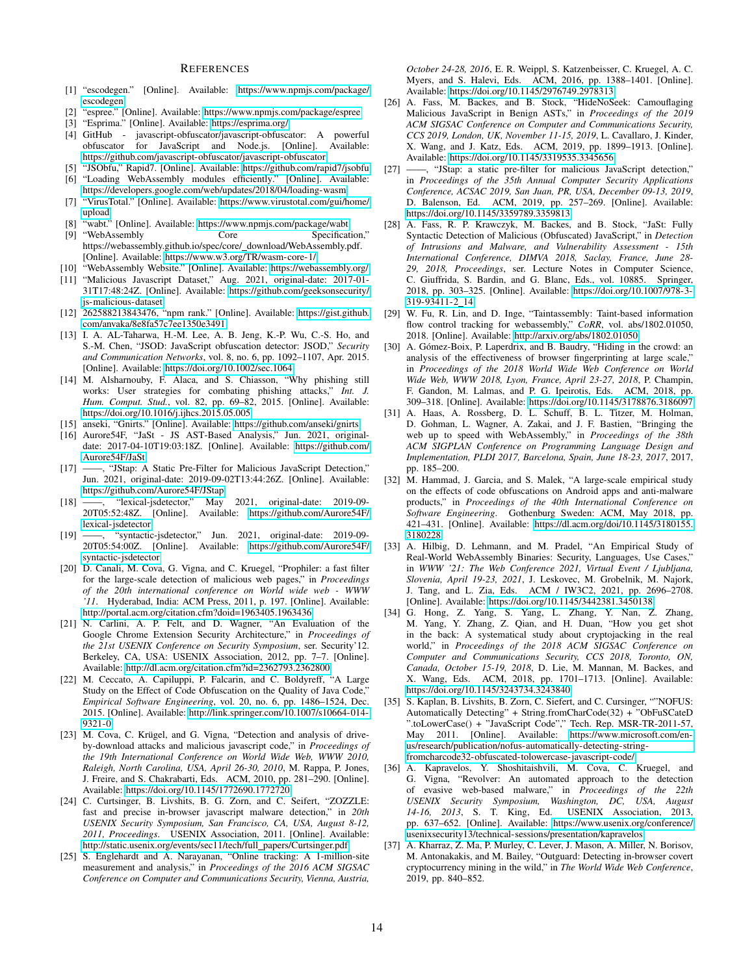## **REFERENCES**

- <span id="page-13-18"></span>[1] "escodegen." [Online]. Available: [https://www.npmjs.com/package/](https://www.npmjs.com/package/escodegen) [escodegen](https://www.npmjs.com/package/escodegen)
- <span id="page-13-17"></span>[2] "espree." [Online]. Available:<https://www.npmjs.com/package/espree>
- <span id="page-13-16"></span>[3] "Esprima." [Online]. Available:<https://esprima.org/>
- <span id="page-13-26"></span>javascript-obfuscator/javascript-obfuscator: A powerful obfuscator for JavaScript and Node.js. [Online]. Available: <https://github.com/javascript-obfuscator/javascript-obfuscator>
- <span id="page-13-28"></span>[5] "JSObfu," Rapid7. [Online]. Available:<https://github.com/rapid7/jsobfu>
- <span id="page-13-15"></span>[6] "Loading WebAssembly modules efficiently." [Online]. Available: <https://developers.google.com/web/updates/2018/04/loading-wasm>
- <span id="page-13-20"></span>[7] "VirusTotal." [Online]. Available: [https://www.virustotal.com/gui/home/](https://www.virustotal.com/gui/home/upload) [upload](https://www.virustotal.com/gui/home/upload)
- <span id="page-13-19"></span>[8] "wabt." [Online]. Available:<https://www.npmjs.com/package/wabt>
- <span id="page-13-14"></span>[9] "WebAssembly Core Specification," https://webassembly.github.io/spec/core/ download/WebAssembly.pdf. [Online]. Available:<https://www.w3.org/TR/wasm-core-1/>
- <span id="page-13-12"></span>[10] "WebAssembly Website." [Online]. Available:<https://webassembly.org/>
- <span id="page-13-21"></span>[11] "Malicious Javascript Dataset," Aug. 2021, original-date: 2017-01- 31T17:48:24Z. [Online]. Available: [https://github.com/geeksonsecurity/](https://github.com/geeksonsecurity/js-malicious-dataset) [js-malicious-dataset](https://github.com/geeksonsecurity/js-malicious-dataset)
- <span id="page-13-22"></span>[12] 262588213843476, "npm rank." [Online]. Available: [https://gist.github.](https://gist.github.com/anvaka/8e8fa57c7ee1350e3491) [com/anvaka/8e8fa57c7ee1350e3491](https://gist.github.com/anvaka/8e8fa57c7ee1350e3491)
- <span id="page-13-33"></span>[13] I. A. AL-Taharwa, H.-M. Lee, A. B. Jeng, K.-P. Wu, C.-S. Ho, and S.-M. Chen, "JSOD: JavaScript obfuscation detector: JSOD," *Security and Communication Networks*, vol. 8, no. 6, pp. 1092–1107, Apr. 2015. [Online]. Available:<https://doi.org/10.1002/sec.1064>
- <span id="page-13-3"></span>[14] M. Alsharnouby, F. Alaca, and S. Chiasson, "Why phishing still works: User strategies for combating phishing attacks," *Int. J. Hum. Comput. Stud.*, vol. 82, pp. 69–82, 2015. [Online]. Available: <https://doi.org/10.1016/j.ijhcs.2015.05.005>
- <span id="page-13-27"></span>[15] anseki, "Gnirts." [Online]. Available:<https://github.com/anseki/gnirts>
- <span id="page-13-25"></span>[16] Aurore54F, "JaSt - JS AST-Based Analysis," Jun. 2021, originaldate: 2017-04-10T19:03:18Z. [Online]. Available: [https://github.com/](https://github.com/Aurore54F/JaSt) [Aurore54F/JaSt](https://github.com/Aurore54F/JaSt)
- <span id="page-13-13"></span>[17] -, "JStap: A Static Pre-Filter for Malicious JavaScript Detection," Jun. 2021, original-date: 2019-09-02T13:44:26Z. [Online]. Available: <https://github.com/Aurore54F/JStap>
- <span id="page-13-23"></span>[18] ——, "lexical-jsdetector," May 2021, original-date: 2019-09- 20T05:52:48Z. [Online]. Available: [https://github.com/Aurore54F/](https://github.com/Aurore54F/lexical-jsdetector) [lexical-jsdetector](https://github.com/Aurore54F/lexical-jsdetector)
- <span id="page-13-24"></span>[19] ——, "syntactic-jsdetector," Jun. 2021, original-date: 2019-09-20T05:54:00Z. [Online]. Available: [https://github.com/Aurore54F/](https://github.com/Aurore54F/syntactic-jsdetector) [syntactic-jsdetector](https://github.com/Aurore54F/syntactic-jsdetector)
- <span id="page-13-31"></span>[20] D. Canali, M. Cova, G. Vigna, and C. Kruegel, "Prophiler: a fast filter for the large-scale detection of malicious web pages," in *Proceedings of the 20th international conference on World wide web - WWW '11*. Hyderabad, India: ACM Press, 2011, p. 197. [Online]. Available: <http://portal.acm.org/citation.cfm?doid=1963405.1963436>
- <span id="page-13-2"></span>[21] N. Carlini, A. P. Felt, and D. Wagner, "An Evaluation of the Google Chrome Extension Security Architecture," in *Proceedings of the 21st USENIX Conference on Security Symposium*, ser. Security'12. Berkeley, CA, USA: USENIX Association, 2012, pp. 7–7. [Online]. Available:<http://dl.acm.org/citation.cfm?id=2362793.2362800>
- <span id="page-13-29"></span>[22] M. Ceccato, A. Capiluppi, P. Falcarin, and C. Boldyreff, "A Large Study on the Effect of Code Obfuscation on the Quality of Java Code," *Empirical Software Engineering*, vol. 20, no. 6, pp. 1486–1524, Dec. 2015. [Online]. Available: [http://link.springer.com/10.1007/s10664-014-](http://link.springer.com/10.1007/s10664-014-9321-0) [9321-0](http://link.springer.com/10.1007/s10664-014-9321-0)
- <span id="page-13-0"></span>[23] M. Cova, C. Krügel, and G. Vigna, "Detection and analysis of driveby-download attacks and malicious javascript code," in *Proceedings of the 19th International Conference on World Wide Web, WWW 2010, Raleigh, North Carolina, USA, April 26-30, 2010*, M. Rappa, P. Jones, J. Freire, and S. Chakrabarti, Eds. ACM, 2010, pp. 281–290. [Online]. Available:<https://doi.org/10.1145/1772690.1772720>
- <span id="page-13-6"></span>[24] C. Curtsinger, B. Livshits, B. G. Zorn, and C. Seifert, "ZOZZLE: fast and precise in-browser javascript malware detection," in *20th USENIX Security Symposium, San Francisco, CA, USA, August 8-12, 2011, Proceedings*. USENIX Association, 2011. [Online]. Available: [http://static.usenix.org/events/sec11/tech/full](http://static.usenix.org/events/sec11/tech/full_papers/Curtsinger.pdf) papers/Curtsinger.pdf
- <span id="page-13-5"></span>[25] S. Englehardt and A. Narayanan, "Online tracking: A 1-million-site measurement and analysis," in *Proceedings of the 2016 ACM SIGSAC Conference on Computer and Communications Security, Vienna, Austria,*

*October 24-28, 2016*, E. R. Weippl, S. Katzenbeisser, C. Kruegel, A. C. Myers, and S. Halevi, Eds. ACM, 2016, pp. 1388–1401. [Online]. Available:<https://doi.org/10.1145/2976749.2978313>

- <span id="page-13-11"></span>[26] A. Fass, M. Backes, and B. Stock, "HideNoSeek: Camouflaging Malicious JavaScript in Benign ASTs," in *Proceedings of the 2019 ACM SIGSAC Conference on Computer and Communications Security, CCS 2019, London, UK, November 11-15, 2019*, L. Cavallaro, J. Kinder, X. Wang, and J. Katz, Eds. ACM, 2019, pp. 1899–1913. [Online]. Available:<https://doi.org/10.1145/3319535.3345656>
- <span id="page-13-8"></span>[27] -, "JStap: a static pre-filter for malicious JavaScript detection," in *Proceedings of the 35th Annual Computer Security Applications Conference, ACSAC 2019, San Juan, PR, USA, December 09-13, 2019*, D. Balenson, Ed. ACM, 2019, pp. 257–269. [Online]. Available: <https://doi.org/10.1145/3359789.3359813>
- <span id="page-13-7"></span>[28] A. Fass, R. P. Krawczyk, M. Backes, and B. Stock, "JaSt: Fully Syntactic Detection of Malicious (Obfuscated) JavaScript," in *Detection of Intrusions and Malware, and Vulnerability Assessment - 15th International Conference, DIMVA 2018, Saclay, France, June 28- 29, 2018, Proceedings*, ser. Lecture Notes in Computer Science, C. Giuffrida, S. Bardin, and G. Blanc, Eds., vol. 10885. Springer, 2018, pp. 303–325. [Online]. Available: [https://doi.org/10.1007/978-3-](https://doi.org/10.1007/978-3-319-93411-2_14) [319-93411-2](https://doi.org/10.1007/978-3-319-93411-2_14) 14
- <span id="page-13-36"></span>[29] W. Fu, R. Lin, and D. Inge, "Taintassembly: Taint-based information flow control tracking for webassembly," *CoRR*, vol. abs/1802.01050, 2018. [Online]. Available:<http://arxiv.org/abs/1802.01050>
- <span id="page-13-4"></span>[30] A. Gómez-Boix, P. Laperdrix, and B. Baudry, "Hiding in the crowd: an analysis of the effectiveness of browser fingerprinting at large scale, in *Proceedings of the 2018 World Wide Web Conference on World Wide Web, WWW 2018, Lyon, France, April 23-27, 2018*, P. Champin, F. Gandon, M. Lalmas, and P. G. Ipeirotis, Eds. ACM, 2018, pp. 309–318. [Online]. Available:<https://doi.org/10.1145/3178876.3186097>
- <span id="page-13-10"></span>[31] A. Haas, A. Rossberg, D. L. Schuff, B. L. Titzer, M. Holman, D. Gohman, L. Wagner, A. Zakai, and J. F. Bastien, "Bringing the web up to speed with WebAssembly," in *Proceedings of the 38th ACM SIGPLAN Conference on Programming Language Design and Implementation, PLDI 2017, Barcelona, Spain, June 18-23, 2017*, 2017, pp. 185–200.
- <span id="page-13-30"></span>[32] M. Hammad, J. Garcia, and S. Malek, "A large-scale empirical study on the effects of code obfuscations on Android apps and anti-malware products," in *Proceedings of the 40th International Conference on Software Engineering*. Gothenburg Sweden: ACM, May 2018, pp. 421–431. [Online]. Available: [https://dl.acm.org/doi/10.1145/3180155.](https://dl.acm.org/doi/10.1145/3180155.3180228) [3180228](https://dl.acm.org/doi/10.1145/3180155.3180228)
- <span id="page-13-35"></span>[33] A. Hilbig, D. Lehmann, and M. Pradel, "An Empirical Study of Real-World WebAssembly Binaries: Security, Languages, Use Cases," in *WWW '21: The Web Conference 2021, Virtual Event / Ljubljana, Slovenia, April 19-23, 2021*, J. Leskovec, M. Grobelnik, M. Najork, J. Tang, and L. Zia, Eds. ACM / IW3C2, 2021, pp. 2696–2708. [Online]. Available:<https://doi.org/10.1145/3442381.3450138>
- <span id="page-13-1"></span>[34] G. Hong, Z. Yang, S. Yang, L. Zhang, Y. Nan, Z. Zhang, M. Yang, Y. Zhang, Z. Qian, and H. Duan, "How you get shot in the back: A systematical study about cryptojacking in the real world," in *Proceedings of the 2018 ACM SIGSAC Conference on Computer and Communications Security, CCS 2018, Toronto, ON, Canada, October 15-19, 2018*, D. Lie, M. Mannan, M. Backes, and X. Wang, Eds. ACM, 2018, pp. 1701–1713. [Online]. Available: <https://doi.org/10.1145/3243734.3243840>
- <span id="page-13-32"></span>[35] S. Kaplan, B. Livshits, B. Zorn, C. Siefert, and C. Cursinger, ""NOFUS: Automatically Detecting" + String.fromCharCode(32) + "ObFuSCateD ".toLowerCase() + "JavaScript Code"," Tech. Rep. MSR-TR-2011-57, May 2011. [Online]. Available: [https://www.microsoft.com/en](https://www.microsoft.com/en-us/research/publication/nofus-automatically-detecting-string-fromcharcode32-obfuscated-tolowercase-javascript-code/)[us/research/publication/nofus-automatically-detecting-string](https://www.microsoft.com/en-us/research/publication/nofus-automatically-detecting-string-fromcharcode32-obfuscated-tolowercase-javascript-code/)[fromcharcode32-obfuscated-tolowercase-javascript-code/](https://www.microsoft.com/en-us/research/publication/nofus-automatically-detecting-string-fromcharcode32-obfuscated-tolowercase-javascript-code/)
- <span id="page-13-9"></span>[36] A. Kapravelos, Y. Shoshitaishvili, M. Cova, C. Kruegel, and G. Vigna, "Revolver: An automated approach to the detection of evasive web-based malware," in *Proceedings of the 22th USENIX Security Symposium, Washington, DC, USA, August 14-16, 2013*, S. T. King, Ed. USENIX Association, 2013, pp. 637–652. [Online]. Available: [https://www.usenix.org/conference/](https://www.usenix.org/conference/usenixsecurity13/technical-sessions/presentation/kapravelos) [usenixsecurity13/technical-sessions/presentation/kapravelos](https://www.usenix.org/conference/usenixsecurity13/technical-sessions/presentation/kapravelos)
- <span id="page-13-34"></span>[37] A. Kharraz, Z. Ma, P. Murley, C. Lever, J. Mason, A. Miller, N. Borisov, M. Antonakakis, and M. Bailey, "Outguard: Detecting in-browser covert cryptocurrency mining in the wild," in *The World Wide Web Conference*, 2019, pp. 840–852.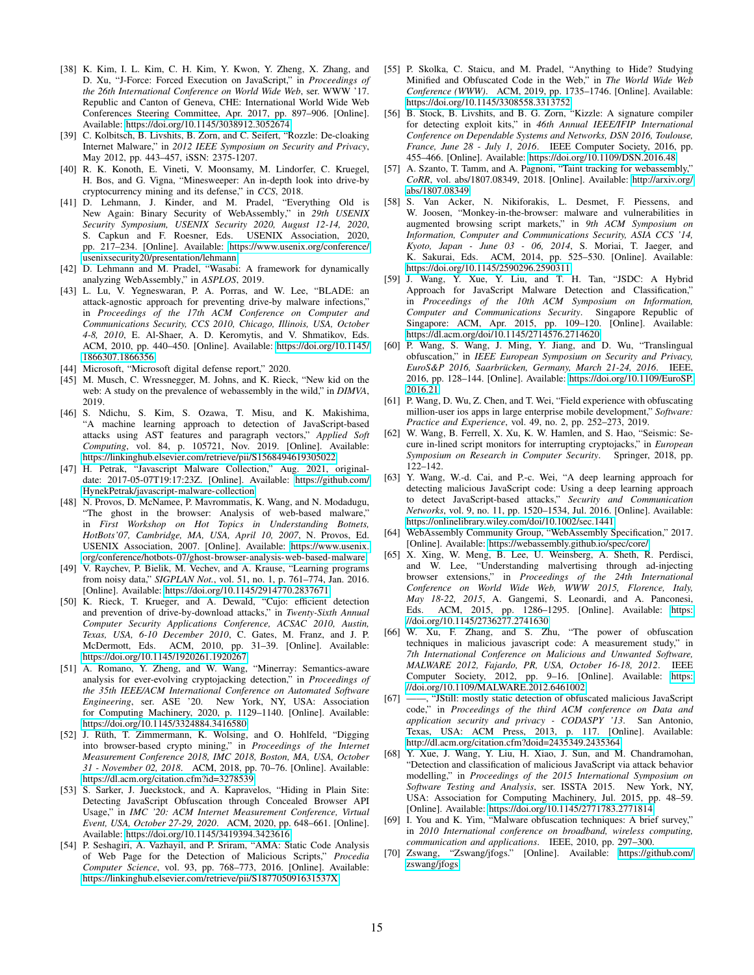- <span id="page-14-26"></span>[38] K. Kim, I. L. Kim, C. H. Kim, Y. Kwon, Y. Zheng, X. Zhang, and D. Xu, "J-Force: Forced Execution on JavaScript," in *Proceedings of the 26th International Conference on World Wide Web*, ser. WWW Republic and Canton of Geneva, CHE: International World Wide Web Conferences Steering Committee, Apr. 2017, pp. 897–906. [Online]. Available:<https://doi.org/10.1145/3038912.3052674>
- <span id="page-14-25"></span>[39] C. Kolbitsch, B. Livshits, B. Zorn, and C. Seifert, "Rozzle: De-cloaking Internet Malware," in *2012 IEEE Symposium on Security and Privacy*, May 2012, pp. 443–457, iSSN: 2375-1207.
- <span id="page-14-3"></span>[40] R. K. Konoth, E. Vineti, V. Moonsamy, M. Lindorfer, C. Kruegel, H. Bos, and G. Vigna, "Minesweeper: An in-depth look into drive-by cryptocurrency mining and its defense," in *CCS*, 2018.
- <span id="page-14-30"></span>[41] D. Lehmann, J. Kinder, and M. Pradel, "Everything Old is New Again: Binary Security of WebAssembly," in *29th USENIX Security Symposium, USENIX Security 2020, August 12-14, 2020*, S. Capkun and F. Roesner, Eds. USENIX Association, 2020, pp. 217–234. [Online]. Available: [https://www.usenix.org/conference/](https://www.usenix.org/conference/usenixsecurity20/presentation/lehmann) [usenixsecurity20/presentation/lehmann](https://www.usenix.org/conference/usenixsecurity20/presentation/lehmann)
- <span id="page-14-31"></span>[42] D. Lehmann and M. Pradel, "Wasabi: A framework for dynamically analyzing WebAssembly," in *ASPLOS*, 2019.
- <span id="page-14-1"></span>[43] L. Lu, V. Yegneswaran, P. A. Porras, and W. Lee, "BLADE: an attack-agnostic approach for preventing drive-by malware infections," in *Proceedings of the 17th ACM Conference on Computer and Communications Security, CCS 2010, Chicago, Illinois, USA, October 4-8, 2010*, E. Al-Shaer, A. D. Keromytis, and V. Shmatikov, Eds. ACM, 2010, pp. 440–450. [Online]. Available: [https://doi.org/10.1145/](https://doi.org/10.1145/1866307.1866356) [1866307.1866356](https://doi.org/10.1145/1866307.1866356)
- <span id="page-14-6"></span>[44] Microsoft, "Microsoft digital defense report," 2020.
- <span id="page-14-27"></span>[45] M. Musch, C. Wressnegger, M. Johns, and K. Rieck, "New kid on the web: A study on the prevalence of webassembly in the wild," in *DIMVA*, 2019.
- <span id="page-14-23"></span>[46] S. Ndichu, S. Kim, S. Ozawa, T. Misu, and K. Makishima, "A machine learning approach to detection of JavaScript-based attacks using AST features and paragraph vectors," *Applied Soft Computing*, vol. 84, p. 105721, Nov. 2019. [Online]. Available: <https://linkinghub.elsevier.com/retrieve/pii/S1568494619305022>
- <span id="page-14-17"></span>[47] H. Petrak, "Javascript Malware Collection," Aug. 2021, originaldate: 2017-05-07T19:17:23Z. [Online]. Available: [https://github.com/](https://github.com/HynekPetrak/javascript-malware-collection) [HynekPetrak/javascript-malware-collection](https://github.com/HynekPetrak/javascript-malware-collection)
- <span id="page-14-0"></span>[48] N. Provos, D. McNamee, P. Mavrommatis, K. Wang, and N. Modadugu, "The ghost in the browser: Analysis of web-based malware," in *First Workshop on Hot Topics in Understanding Botnets, HotBots'07, Cambridge, MA, USA, April 10, 2007*, N. Provos, Ed. USENIX Association, 2007. [Online]. Available: [https://www.usenix.](https://www.usenix.org/conference/hotbots-07/ghost-browser-analysis-web-based-malware) [org/conference/hotbots-07/ghost-browser-analysis-web-based-malware](https://www.usenix.org/conference/hotbots-07/ghost-browser-analysis-web-based-malware)
- <span id="page-14-16"></span>[49] V. Raychev, P. Bielik, M. Vechev, and A. Krause, "Learning programs from noisy data," *SIGPLAN Not.*, vol. 51, no. 1, p. 761–774, Jan. 2016. [Online]. Available:<https://doi.org/10.1145/2914770.2837671>
- <span id="page-14-7"></span>[50] K. Rieck, T. Krueger, and A. Dewald, "Cujo: efficient detection and prevention of drive-by-download attacks," in *Twenty-Sixth Annual Computer Security Applications Conference, ACSAC 2010, Austin, Texas, USA, 6-10 December 2010*, C. Gates, M. Franz, and J. P. McDermott, Eds. ACM, 2010, pp. 31–39. [Online]. Available: <https://doi.org/10.1145/1920261.1920267>
- <span id="page-14-28"></span>[51] A. Romano, Y. Zheng, and W. Wang, "Minerray: Semantics-aware analysis for ever-evolving cryptojacking detection," in *Proceedings of the 35th IEEE/ACM International Conference on Automated Software Engineering*, ser. ASE '20. New York, NY, USA: Association for Computing Machinery, 2020, p. 1129–1140. [Online]. Available: <https://doi.org/10.1145/3324884.3416580>
- <span id="page-14-4"></span>[52] J. Rüth, T. Zimmermann, K. Wolsing, and O. Hohlfeld, "Digging into browser-based crypto mining," in *Proceedings of the Internet Measurement Conference 2018, IMC 2018, Boston, MA, USA, October 31 - November 02, 2018*. ACM, 2018, pp. 70–76. [Online]. Available: <https://dl.acm.org/citation.cfm?id=3278539>
- <span id="page-14-9"></span>[53] S. Sarker, J. Jueckstock, and A. Kapravelos, "Hiding in Plain Site: Detecting JavaScript Obfuscation through Concealed Browser API Usage," in *IMC '20: ACM Internet Measurement Conference, Virtual Event, USA, October 27-29, 2020*. ACM, 2020, pp. 648–661. [Online]. Available:<https://doi.org/10.1145/3419394.3423616>
- <span id="page-14-15"></span>[54] P. Seshagiri, A. Vazhayil, and P. Sriram, "AMA: Static Code Analysis of Web Page for the Detection of Malicious Scripts," *Procedia Computer Science*, vol. 93, pp. 768–773, 2016. [Online]. Available: <https://linkinghub.elsevier.com/retrieve/pii/S187705091631537X>
- <span id="page-14-10"></span>[55] P. Skolka, C. Staicu, and M. Pradel, "Anything to Hide? Studying Minified and Obfuscated Code in the Web," in *The World Wide Web Conference (WWW)*. ACM, 2019, pp. 1735–1746. [Online]. Available: <https://doi.org/10.1145/3308558.3313752>
- <span id="page-14-8"></span>[56] B. Stock, B. Livshits, and B. G. Zorn, "Kizzle: A signature compiler for detecting exploit kits," in *46th Annual IEEE/IFIP International Conference on Dependable Systems and Networks, DSN 2016, Toulouse, France, June 28 - July 1, 2016*. IEEE Computer Society, 2016, pp. 455–466. [Online]. Available:<https://doi.org/10.1109/DSN.2016.48>
- <span id="page-14-32"></span>[57] A. Szanto, T. Tamm, and A. Pagnoni, "Taint tracking for webassembly," *CoRR*, vol. abs/1807.08349, 2018. [Online]. Available: [http://arxiv.org/](http://arxiv.org/abs/1807.08349) [abs/1807.08349](http://arxiv.org/abs/1807.08349)
- <span id="page-14-2"></span>[58] S. Van Acker, N. Nikiforakis, L. Desmet, F. Piessens, and W. Joosen, "Monkey-in-the-browser: malware and vulnerabilities in augmented browsing script markets," in *9th ACM Symposium on Information, Computer and Communications Security, ASIA CCS '14, Kyoto, Japan - June 03 - 06, 2014*, S. Moriai, T. Jaeger, and K. Sakurai, Eds. ACM, 2014, pp. 525–530. [Online]. Available: <https://doi.org/10.1145/2590296.2590311>
- <span id="page-14-22"></span>[59] J. Wang, Y. Xue, Y. Liu, and T. H. Tan, "JSDC: A Hybrid Approach for JavaScript Malware Detection and Classification," in *Proceedings of the 10th ACM Symposium on Information, Computer and Communications Security*. Singapore Republic of Singapore: ACM, Apr. 2015, pp. 109–120. [Online]. Available: <https://dl.acm.org/doi/10.1145/2714576.2714620>
- <span id="page-14-13"></span>[60] P. Wang, S. Wang, J. Ming, Y. Jiang, and D. Wu, "Translingual obfuscation," in *IEEE European Symposium on Security and Privacy, EuroS&P 2016, Saarbrucken, Germany, March 21-24, 2016 ¨* . IEEE, 2016, pp. 128–144. [Online]. Available: [https://doi.org/10.1109/EuroSP.](https://doi.org/10.1109/EuroSP.2016.21) [2016.21](https://doi.org/10.1109/EuroSP.2016.21)
- <span id="page-14-20"></span>[61] P. Wang, D. Wu, Z. Chen, and T. Wei, "Field experience with obfuscating million-user ios apps in large enterprise mobile development," *Software: Practice and Experience*, vol. 49, no. 2, pp. 252–273, 2019.
- <span id="page-14-29"></span>[62] W. Wang, B. Ferrell, X. Xu, K. W. Hamlen, and S. Hao, "Seismic: Secure in-lined script monitors for interrupting cryptojacks," in *European Symposium on Research in Computer Security*. Springer, 2018, pp. 122–142.
- <span id="page-14-11"></span>[63] Y. Wang, W.-d. Cai, and P.-c. Wei, "A deep learning approach for detecting malicious JavaScript code: Using a deep learning approach to detect JavaScript-based attacks," *Security and Communication Networks*, vol. 9, no. 11, pp. 1520–1534, Jul. 2016. [Online]. Available: <https://onlinelibrary.wiley.com/doi/10.1002/sec.1441>
- <span id="page-14-14"></span>[64] WebAssembly Community Group, "WebAssembly Specification," 2017. [Online]. Available:<https://webassembly.github.io/spec/core/>
- <span id="page-14-5"></span>[65] X. Xing, W. Meng, B. Lee, U. Weinsberg, A. Sheth, R. Perdisci, and W. Lee, "Understanding malvertising through ad-injecting browser extensions," in *Proceedings of the 24th International Conference on World Wide Web, WWW 2015, Florence, Italy, May 18-22, 2015*, A. Gangemi, S. Leonardi, and A. Panconesi, Eds. ACM, 2015, pp. 1286–1295. [Online]. Available: [https:](https://doi.org/10.1145/2736277.2741630) [//doi.org/10.1145/2736277.2741630](https://doi.org/10.1145/2736277.2741630)
- <span id="page-14-12"></span>[66] W. Xu, F. Zhang, and S. Zhu, "The power of obfuscation techniques in malicious javascript code: A measurement study," in *7th International Conference on Malicious and Unwanted Software, MALWARE 2012, Fajardo, PR, USA, October 16-18, 2012*. IEEE Computer Society, 2012, pp. 9–16. [Online]. Available: [https:](https://doi.org/10.1109/MALWARE.2012.6461002) [//doi.org/10.1109/MALWARE.2012.6461002](https://doi.org/10.1109/MALWARE.2012.6461002)
- <span id="page-14-21"></span>[67] ——, "JStill: mostly static detection of obfuscated malicious JavaScript code," in *Proceedings of the third ACM conference on Data and application security and privacy - CODASPY '13*. San Antonio, Texas, USA: ACM Press, 2013, p. 117. [Online]. Available: <http://dl.acm.org/citation.cfm?doid=2435349.2435364>
- <span id="page-14-24"></span>[68] Y. Xue, J. Wang, Y. Liu, H. Xiao, J. Sun, and M. Chandramohan, "Detection and classification of malicious JavaScript via attack behavior modelling," in *Proceedings of the 2015 International Symposium on Software Testing and Analysis*, ser. ISSTA 2015. New York, NY, USA: Association for Computing Machinery, Jul. 2015, pp. 48–59. [Online]. Available:<https://doi.org/10.1145/2771783.2771814>
- <span id="page-14-19"></span>[69] I. You and K. Yim, "Malware obfuscation techniques: A brief survey," in *2010 International conference on broadband, wireless computing, communication and applications*. IEEE, 2010, pp. 297–300.
- <span id="page-14-18"></span>[70] Zswang, "Zswang/jfogs." [Online]. Available: [https://github.com/](https://github.com/zswang/jfogs) [zswang/jfogs](https://github.com/zswang/jfogs)